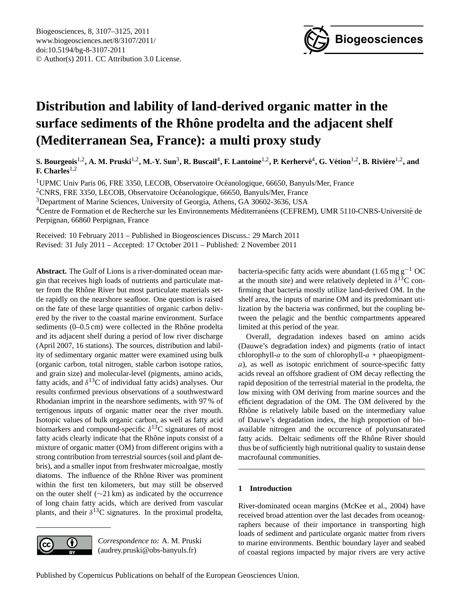

# <span id="page-0-0"></span>**Distribution and lability of land-derived organic matter in the surface sediments of the Rhône prodelta and the adjacent shelf (Mediterranean Sea, France): a multi proxy study**

 ${\bf S.}$  Bourgeois<sup>1,2</sup>, A. M. Pruski<sup>1,2</sup>, M.-Y. Sun<sup>3</sup>, R. Buscail<sup>4</sup>, F. Lantoine<sup>1,2</sup>, P. Kerhervé<sup>4</sup>, G. Vétion<sup>1,2</sup>, B. Rivière<sup>1,2</sup>, and **F.** Charles<sup>1,2</sup>

<sup>1</sup> UPMC Univ Paris 06, FRE 3350, LECOB, Observatoire Océanologique, 66650, Banyuls/Mer, France

<sup>2</sup>CNRS, FRE 3350, LECOB, Observatoire Océanologique, 66650, Banyuls/Mer, France

<sup>3</sup>Department of Marine Sciences, University of Georgia, Athens, GA 30602-3636, USA

<sup>4</sup>Centre de Formation et de Recherche sur les Environnements Méditerranéens (CEFREM), UMR 5110-CNRS-Université de Perpignan, 66860 Perpignan, France

Received: 10 February 2011 – Published in Biogeosciences Discuss.: 29 March 2011 Revised: 31 July 2011 – Accepted: 17 October 2011 – Published: 2 November 2011

**Abstract.** The Gulf of Lions is a river-dominated ocean margin that receives high loads of nutrients and particulate matter from the Rhône River but most particulate materials settle rapidly on the nearshore seafloor. One question is raised on the fate of these large quantities of organic carbon delivered by the river to the coastal marine environment. Surface sediments  $(0-0.5 \text{ cm})$  were collected in the Rhône prodelta and its adjacent shelf during a period of low river discharge (April 2007, 16 stations). The sources, distribution and lability of sedimentary organic matter were examined using bulk (organic carbon, total nitrogen, stable carbon isotope ratios, and grain size) and molecular-level (pigments, amino acids, fatty acids, and  $\delta^{13}$ C of individual fatty acids) analyses. Our results confirmed previous observations of a southwestward Rhodanian imprint in the nearshore sediments, with 97 % of terrigenous inputs of organic matter near the river mouth. Isotopic values of bulk organic carbon, as well as fatty acid biomarkers and compound-specific  $\delta^{13}$ C signatures of most fatty acids clearly indicate that the Rhône inputs consist of a mixture of organic matter (OM) from different origins with a strong contribution from terrestrial sources (soil and plant debris), and a smaller input from freshwater microalgae, mostly diatoms. The influence of the Rhône River was prominent within the first ten kilometers, but may still be observed on the outer shelf (∼21 km) as indicated by the occurrence of long chain fatty acids, which are derived from vascular plants, and their  $\delta^{13}$ C signatures. In the proximal prodelta,



*Correspondence to:* A. M. Pruski (audrey.pruski@obs-banyuls.fr)

bacteria-specific fatty acids were abundant (1.65 mg g<sup>-1</sup> OC at the mouth site) and were relatively depleted in  $\delta^{13}$ C confirming that bacteria mostly utilize land-derived OM. In the shelf area, the inputs of marine OM and its predominant utilization by the bacteria was confirmed, but the coupling between the pelagic and the benthic compartments appeared limited at this period of the year.

Overall, degradation indexes based on amino acids (Dauwe's degradation index) and pigments (ratio of intact chlorophyll-a to the sum of chlorophyll-a + phaeopigmenta), as well as isotopic enrichment of source-specific fatty acids reveal an offshore gradient of OM decay reflecting the rapid deposition of the terrestrial material in the prodelta, the low mixing with OM deriving from marine sources and the efficient degradation of the OM. The OM delivered by the Rhône is relatively labile based on the intermediary value of Dauwe's degradation index, the high proportion of bioavailable nitrogen and the occurrence of polyunsaturated fatty acids. Deltaic sediments off the Rhône River should thus be of sufficiently high nutritional quality to sustain dense macrofaunal communities.

## **1 Introduction**

River-dominated ocean margins (McKee et al., 2004) have received broad attention over the last decades from oceanographers because of their importance in transporting high loads of sediment and particulate organic matter from rivers to marine environments. Benthic boundary layer and seabed of coastal regions impacted by major rivers are very active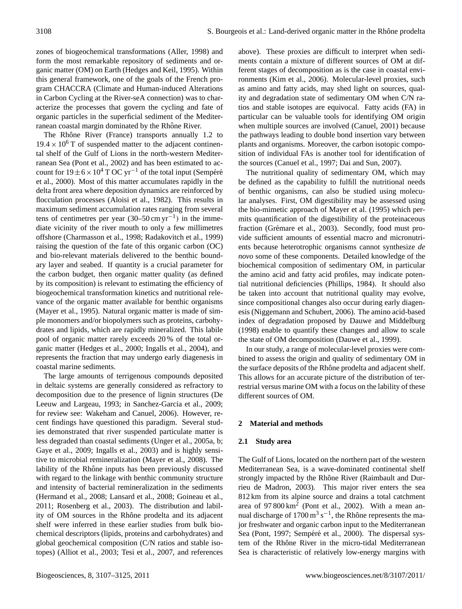zones of biogeochemical transformations (Aller, 1998) and form the most remarkable repository of sediments and organic matter (OM) on Earth (Hedges and Keil, 1995). Within this general framework, one of the goals of the French program CHACCRA (Climate and Human-induced Alterations in Carbon Cycling at the River-seA connection) was to characterize the processes that govern the cycling and fate of organic particles in the superficial sediment of the Mediterranean coastal margin dominated by the Rhône River.

The Rhône River (France) transports annually 1.2 to  $19.4 \times 10^6$  T of suspended matter to the adjacent continental shelf of the Gulf of Lions in the north-western Mediterranean Sea (Pont et al., 2002) and has been estimated to account for  $19 \pm 6 \times 10^4$  T OC yr<sup>-1</sup> of the total input (Semperé et al., 2000). Most of this matter accumulates rapidly in the delta front area where deposition dynamics are reinforced by flocculation processes (Aloisi et al., 1982). This results in maximum sediment accumulation rates ranging from several tens of centimetres per year  $(30-50 \text{ cm yr}^{-1})$  in the immediate vicinity of the river mouth to only a few millimetres offshore (Charmasson et al., 1998; Radakovitch et al., 1999) raising the question of the fate of this organic carbon (OC) and bio-relevant materials delivered to the benthic boundary layer and seabed. If quantity is a crucial parameter for the carbon budget, then organic matter quality (as defined by its composition) is relevant to estimating the efficiency of biogeochemical transformation kinetics and nutritional relevance of the organic matter available for benthic organisms (Mayer et al., 1995). Natural organic matter is made of simple monomers and/or biopolymers such as proteins, carbohydrates and lipids, which are rapidly mineralized. This labile pool of organic matter rarely exceeds 20 % of the total organic matter (Hedges et al., 2000; Ingalls et al., 2004), and represents the fraction that may undergo early diagenesis in coastal marine sediments.

The large amounts of terrigenous compounds deposited in deltaic systems are generally considered as refractory to decomposition due to the presence of lignin structures (De Leeuw and Largeau, 1993; in Sanchez-Garcia et al., 2009; for review see: Wakeham and Canuel, 2006). However, recent findings have questioned this paradigm. Several studies demonstrated that river suspended particulate matter is less degraded than coastal sediments (Unger et al., 2005a, b; Gaye et al., 2009; Ingalls et al., 2003) and is highly sensitive to microbial remineralization (Mayer et al., 2008). The lability of the Rhône inputs has been previously discussed with regard to the linkage with benthic community structure and intensity of bacterial remineralization in the sediments (Hermand et al., 2008; Lansard et al., 2008; Goineau et al., 2011; Rosenberg et al., 2003). The distribution and lability of OM sources in the Rhône prodelta and its adjacent shelf were inferred in these earlier studies from bulk biochemical descriptors (lipids, proteins and carbohydrates) and global geochemical composition (C/N ratios and stable isotopes) (Alliot et al., 2003; Tesi et al., 2007, and references above). These proxies are difficult to interpret when sediments contain a mixture of different sources of OM at different stages of decomposition as is the case in coastal environments (Kim et al., 2006). Molecular-level proxies, such as amino and fatty acids, may shed light on sources, quality and degradation state of sedimentary OM when C/N ratios and stable isotopes are equivocal. Fatty acids (FA) in particular can be valuable tools for identifying OM origin when multiple sources are involved (Canuel, 2001) because the pathways leading to double bond insertion vary between plants and organisms. Moreover, the carbon isotopic composition of individual FAs is another tool for identification of the sources (Canuel et al., 1997; Dai and Sun, 2007).

The nutritional quality of sedimentary OM, which may be defined as the capability to fulfill the nutritional needs of benthic organisms, can also be studied using molecular analyses. First, OM digestibility may be assessed using the bio-mimetic approach of Mayer et al. (1995) which permits quantification of the digestibility of the proteinaceous fraction (Grémare et al., 2003). Secondly, food must provide sufficient amounts of essential macro and micronutrients because heterotrophic organisms cannot synthesize *de novo* some of these components. Detailed knowledge of the biochemical composition of sedimentary OM, in particular the amino acid and fatty acid profiles, may indicate potential nutritional deficiencies (Phillips, 1984). It should also be taken into account that nutritional quality may evolve, since compositional changes also occur during early diagenesis (Niggemann and Schubert, 2006). The amino acid-based index of degradation proposed by Dauwe and Middelburg (1998) enable to quantify these changes and allow to scale the state of OM decomposition (Dauwe et al., 1999).

In our study, a range of molecular-level proxies were combined to assess the origin and quality of sedimentary OM in the surface deposits of the Rhône prodelta and adjacent shelf. This allows for an accurate picture of the distribution of terrestrial versus marine OM with a focus on the lability of these different sources of OM.

# **2 Material and methods**

## **2.1 Study area**

The Gulf of Lions, located on the northern part of the western Mediterranean Sea, is a wave-dominated continental shelf strongly impacted by the Rhône River (Raimbault and Durrieu de Madron, 2003). This major river enters the sea 812 km from its alpine source and drains a total catchment area of 97 800 km<sup>2</sup> (Pont et al., 2002). With a mean annual discharge of  $1700 \,\mathrm{m^3\,s^{-1}}$ , the Rhône represents the major freshwater and organic carbon input to the Mediterranean Sea (Pont, 1997; Sempéré et al., 2000). The dispersal system of the Rhône River in the micro-tidal Mediterranean Sea is characteristic of relatively low-energy margins with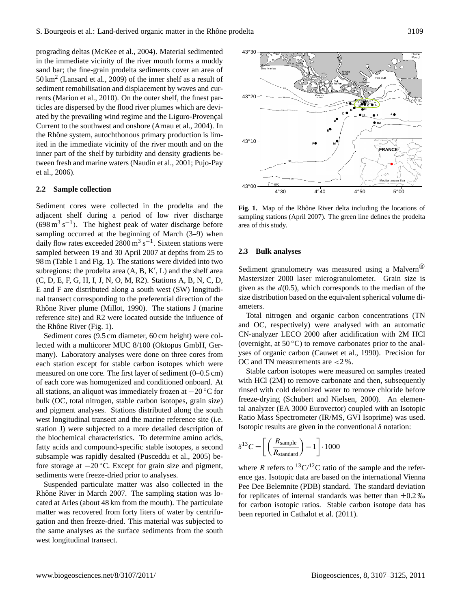prograding deltas (McKee et al., 2004). Material sedimented in the immediate vicinity of the river mouth forms a muddy sand bar; the fine-grain prodelta sediments cover an area of  $50 \text{ km}^2$  (Lansard et al., 2009) of the inner shelf as a result of sediment remobilisation and displacement by waves and currents (Marion et al., 2010). On the outer shelf, the finest particles are dispersed by the flood river plumes which are deviated by the prevailing wind regime and the Liguro-Provençal Current to the southwest and onshore (Arnau et al., 2004). In the Rhône system, autochthonous primary production is limited in the immediate vicinity of the river mouth and on the inner part of the shelf by turbidity and density gradients between fresh and marine waters (Naudin et al., 2001; Pujo-Pay et al., 2006).

#### **2.2 Sample collection**

Sediment cores were collected in the prodelta and the adjacent shelf during a period of low river discharge  $(698 \text{ m}^3 \text{ s}^{-1})$ . The highest peak of water discharge before sampling occurred at the beginning of March  $(3-9)$  when daily flow rates exceeded  $2800 \,\mathrm{m^3\,s^{-1}}$ . Sixteen stations were sampled between 19 and 30 April 2007 at depths from 25 to 98 m (Table 1 and Fig. 1). The stations were divided into two subregions: the prodelta area  $(A, B, K', L)$  and the shelf area (C, D, E, F, G, H, I, J, N, O, M, R2). Stations A, B, N, C, D, E and F are distributed along a south west (SW) longitudinal transect corresponding to the preferential direction of the Rhône River plume (Millot, 1990). The stations J (marine reference site) and R2 were located outside the influence of the Rhône River (Fig.  $1$ ).

Sediment cores (9.5 cm diameter, 60 cm height) were collected with a multicorer MUC 8/100 (Oktopus GmbH, Germany). Laboratory analyses were done on three cores from each station except for stable carbon isotopes which were measured on one core. The first layer of sediment (0–0.5 cm) of each core was homogenized and conditioned onboard. At all stations, an aliquot was immediately frozen at −20 ◦C for bulk (OC, total nitrogen, stable carbon isotopes, grain size) and pigment analyses. Stations distributed along the south west longitudinal transect and the marine reference site (i.e. station J) were subjected to a more detailed description of the biochemical characteristics. To determine amino acids, fatty acids and compound-specific stable isotopes, a second subsample was rapidly desalted (Pusceddu et al., 2005) before storage at −20 ◦C. Except for grain size and pigment, sediments were freeze-dried prior to analyses.

Suspended particulate matter was also collected in the Rhône River in March 2007. The sampling station was located at Arles (about 48 km from the mouth). The particulate matter was recovered from forty liters of water by centrifugation and then freeze-dried. This material was subjected to the same analyses as the surface sediments from the south west longitudinal transect.



Fig. 1. Map of the Rhône River delta including the locations of sampling stations (April 2007). The green line defines the prodelta area of this study.

#### **2.3 Bulk analyses**

Sediment granulometry was measured using a Malvern<sup>®</sup> Mastersizer 2000 laser microgranulometer. Grain size is given as the  $d(0.5)$ , which corresponds to the median of the size distribution based on the equivalent spherical volume diameters.

Total nitrogen and organic carbon concentrations (TN and OC, respectively) were analysed with an automatic CN-analyzer LECO 2000 after acidification with 2M HCl (overnight, at  $50^{\circ}$ C) to remove carbonates prior to the analyses of organic carbon (Cauwet et al., 1990). Precision for OC and TN measurements are <2 %.

Stable carbon isotopes were measured on samples treated with HCl (2M) to remove carbonate and then, subsequently rinsed with cold deionized water to remove chloride before freeze-drying (Schubert and Nielsen, 2000). An elemental analyzer (EA 3000 Eurovector) coupled with an Isotopic Ratio Mass Spectrometer (IR/MS, GVI Isoprime) was used. Isotopic results are given in the conventional δ notation:

$$
\delta^{13}C = \left[ \left( \frac{R_{\text{sample}}}{R_{\text{standard}}} \right) - 1 \right] \cdot 1000
$$

where R refers to  ${}^{13}C/{}^{12}C$  ratio of the sample and the reference gas. Isotopic data are based on the international Vienna Pee Dee Belemnite (PDB) standard. The standard deviation for replicates of internal standards was better than  $\pm 0.2$  ‰ for carbon isotopic ratios. Stable carbon isotope data has been reported in Cathalot et al. (2011).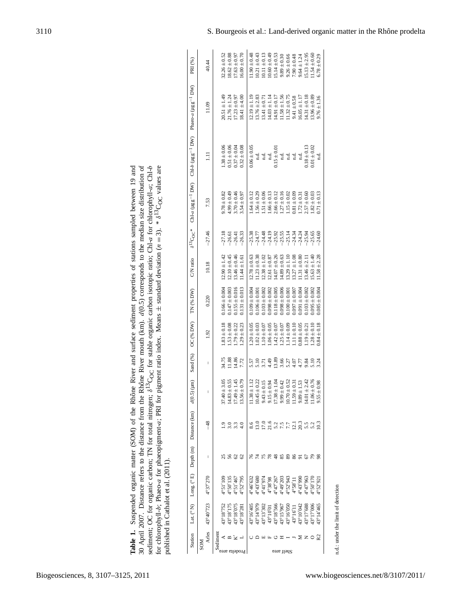| Table 1. Suspended organic matter (SOM) of the Rhône River and surface sediment properties of stations sampled between 19 and                             |
|-----------------------------------------------------------------------------------------------------------------------------------------------------------|
| 30 April 2007. Distance refers to the distance from the Rhône River mouth (km). $d(0.5)$ corresponds to the median size distribution of                   |
| sediment; OC for organic carbon; TN for total nitrogen; $8^{13}$ C <sub>OC</sub> for stable organic carbon isotopic ratio; Chl-a for chlorophyll-a; Chl-a |
| for chlorophyll-b; Phaeo-a for phaeopigment-a; PRI for pigment ratio index. Means $\pm$ standard deviation ( $n=3$ ). $* s^{15}C_{\rm OC}$ values are     |
| published in Cathalot et al. (2011).                                                                                                                      |

| $0.109 \pm 0.004$<br>$0.098 \pm 0.002$<br>$0.103 \pm 0.002$<br>$0.106 \pm 0.001$<br>$.20 \pm 0.05$<br>$.06 \pm 0.05$<br>$.02 \pm 0.03$<br>$.10 \pm 0.07$                                                                                                                                         | 5.10<br>5.57<br>$\pm 1.12$<br>$\pm\,0.22$<br>1.38                                                                                                                                                                                                                                           | 13.0                               |               | 3.71<br>$\pm 0.15$<br>$4^{\circ}46'632$<br>13°16'405<br>13°14'979<br>$13^{\circ}13'302$ |
|--------------------------------------------------------------------------------------------------------------------------------------------------------------------------------------------------------------------------------------------------------------------------------------------------|---------------------------------------------------------------------------------------------------------------------------------------------------------------------------------------------------------------------------------------------------------------------------------------------|------------------------------------|---------------|-----------------------------------------------------------------------------------------|
| $0.098 \pm 0.006$<br>$0.118 \pm 0.005$<br>$0.103 \pm 0.002$<br>$0.095 \pm 0.002$<br>$0.085 \pm 0.004$<br>$0.097 \pm 0.007$<br>$0.091 \pm 0.004$<br>$0.100 \pm 0.001$<br>$14 \pm 0.09$<br>$.88 \pm 0.05$<br>$.28 \pm 0.10$<br>$.42 \pm 0.07$<br>$.25 \pm 0.07$<br>$11 \pm 0.10$<br>$.19 \pm 0.21$ | $0.84 \pm 0.18$<br>13.89<br>4.49<br>3.66<br>5.27<br>$-0.1$<br>1.77<br>9.84<br>5.10<br>3.24<br>$+0.76$<br>± 2.42<br>$\pm 1.04$<br>$+0.52$<br>$\pm\,0.42$<br>$\pm 1.53$<br>$+0.98$<br>$\pm\,0.94$<br>$\pm 0.31$<br>10.43<br>9.43<br>10.78<br>10.70<br>11.59<br>11.59<br>985<br>14.06<br>15.59 | 17.9<br>17.9<br>17.17<br>20.3<br>3 | 2772233355523 | p<br>50/170<br>P <sub>52'921</sub><br>$43^{\circ}15'967$<br>                            |

n.d.: under the limit of detection n.d.: under the limit of detection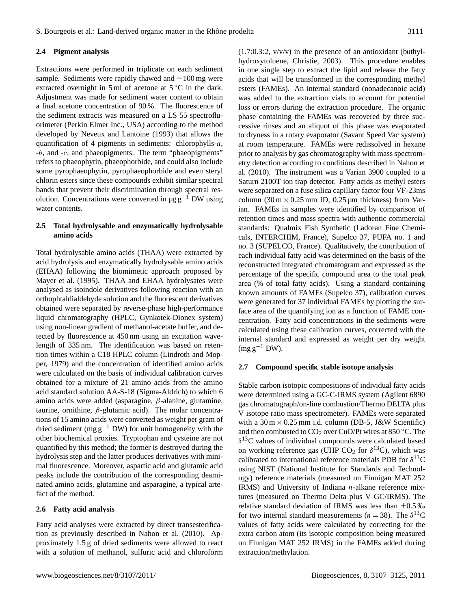### **2.4 Pigment analysis**

Extractions were performed in triplicate on each sediment sample. Sediments were rapidly thawed and ∼100 mg were extracted overnight in 5 ml of acetone at  $5^{\circ}$ C in the dark. Adjustment was made for sediment water content to obtain a final acetone concentration of 90 %. The fluorescence of the sediment extracts was measured on a LS 55 spectrofluorimeter (Perkin Elmer Inc., USA) according to the method developed by Neveux and Lantoine (1993) that allows the quantification of 4 pigments in sediments: chlorophylls- $a$ , -b, and -c, and phaeopigments. The term "phaeopigments" refers to phaeophytin, phaeophorbide, and could also include some pyrophaeophytin, pyrophaeophorbide and even steryl chlorin esters since these compounds exhibit similar spectral bands that prevent their discrimination through spectral resolution. Concentrations were converted in  $\mu$ g g<sup>-1</sup> DW using water contents.

# **2.5 Total hydrolysable and enzymatically hydrolysable amino acids**

Total hydrolysable amino acids (THAA) were extracted by acid hydrolysis and enzymatically hydrolysable amino acids (EHAA) following the biomimetic approach proposed by Mayer et al. (1995). THAA and EHAA hydrolysates were analysed as isoindole derivatives following reaction with an orthophtaldialdehyde solution and the fluorescent derivatives obtained were separated by reverse-phase high-performance liquid chromatography (HPLC, Gynkotek-Dionex system) using non-linear gradient of methanol-acetate buffer, and detected by fluorescence at 450 nm using an excitation wavelength of 335 nm. The identification was based on retention times within a C18 HPLC column (Lindroth and Mopper, 1979) and the concentration of identified amino acids were calculated on the basis of individual calibration curves obtained for a mixture of 21 amino acids from the amino acid standard solution AA-S-18 (Sigma-Aldrich) to which 6 amino acids were added (asparagine, β-alanine, glutamine, taurine, ornithine, β-glutamic acid). The molar concentrations of 15 amino acids were converted as weight per gram of dried sediment (mg  $g^{-1}$  DW) for unit homogeneity with the other biochemical proxies. Tryptophan and cysteine are not quantified by this method; the former is destroyed during the hydrolysis step and the latter produces derivatives with minimal fluorescence. Moreover, aspartic acid and glutamic acid peaks include the contribution of the corresponding deaminated amino acids, glutamine and asparagine, a typical artefact of the method.

# **2.6 Fatty acid analysis**

Fatty acid analyses were extracted by direct transesterification as previously described in Nahon et al. (2010). Approximately 1.5 g of dried sediments were allowed to react with a solution of methanol, sulfuric acid and chloroform  $(1.7:0.3:2, v/v/v)$  in the presence of an antioxidant (buthylhydroxytoluene, Christie, 2003). This procedure enables in one single step to extract the lipid and release the fatty acids that will be transformed in the corresponding methyl esters (FAMEs). An internal standard (nonadecanoic acid) was added to the extraction vials to account for potential loss or errors during the extraction procedure. The organic phase containing the FAMEs was recovered by three successive rinses and an aliquot of this phase was evaporated to dryness in a rotary evaporator (Savant Speed Vac system) at room temperature. FAMEs were redissolved in hexane prior to analysis by gas chromatography with mass spectrometry detection according to conditions described in Nahon et al. (2010). The instrument was a Varian 3900 coupled to a Saturn 2100T ion trap detector. Fatty acids as methyl esters were separated on a fuse silica capillary factor four VF-23ms column  $(30 \text{ m} \times 0.25 \text{ mm} \text{ ID}, 0.25 \text{ \mu m} \text{ thickness})$  from Varian. FAMEs in samples were identified by comparison of retention times and mass spectra with authentic commercial standards: Qualmix Fish Synthetic (Ladoran Fine Chemicals, INTERCHIM, France), Supelco 37, PUFA no. 1 and no. 3 (SUPELCO, France). Qualitatively, the contribution of each individual fatty acid was determined on the basis of the reconstructed integrated chromatogram and expressed as the percentage of the specific compound area to the total peak area (% of total fatty acids). Using a standard containing known amounts of FAMEs (Supelco 37), calibration curves were generated for 37 individual FAMEs by plotting the surface area of the quantifying ion as a function of FAME concentration. Fatty acid concentrations in the sediments were calculated using these calibration curves, corrected with the internal standard and expressed as weight per dry weight  $(mg g^{-1} DW)$ .

#### **2.7 Compound specific stable isotope analysis**

Stable carbon isotopic compositions of individual fatty acids were determined using a GC-C-IRMS system (Agilent 6890 gas chromatograph/on-line combustion/Thermo DELTA plus V isotope ratio mass spectrometer). FAMEs were separated with a  $30 \text{ m} \times 0.25 \text{ mm}$  i.d. column (DB-5, J&W Scientific) and then combusted to  $CO<sub>2</sub>$  over CuO/Pt wires at 850 °C. The  $\delta^{13}$ C values of individual compounds were calculated based on working reference gas (UHP CO<sub>2</sub> for  $\delta^{13}$ C), which was calibrated to international reference materials PDB for  $\delta^{13}$ C using NIST (National Institute for Standards and Technology) reference materials (measured on Finnigan MAT 252 IRMS) and University of Indiana n-alkane reference mixtures (measured on Thermo Delta plus V GC/IRMS). The relative standard deviation of IRMS was less than  $\pm 0.5$  ‰ for two internal standard measurements ( $n = 38$ ). The  $\delta^{13}$ C values of fatty acids were calculated by correcting for the extra carbon atom (its isotopic composition being measured on Finnigan MAT 252 IRMS) in the FAMEs added during extraction/methylation.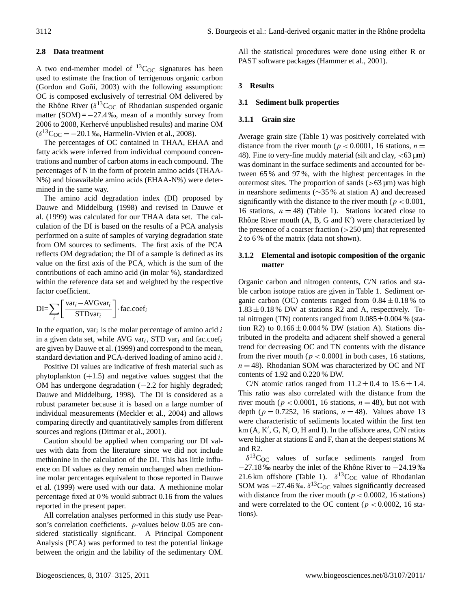# **2.8 Data treatment**

A two end-member model of  ${}^{13}C_{\Omega}$  signatures has been used to estimate the fraction of terrigenous organic carbon (Gordon and Goñi, 2003) with the following assumption: OC is composed exclusively of terrestrial OM delivered by the Rhône River ( $\delta^{13}$ C<sub>OC</sub> of Rhodanian suspended organic matter  $(SOM) = -27.4$  ‰, mean of a monthly survey from 2006 to 2008, Kerhervé unpublished results) and marine OM  $(\delta^{13}C_{\text{OC}} = -20.1 \text{ %}$ , Harmelin-Vivien et al., 2008).

The percentages of OC contained in THAA, EHAA and fatty acids were inferred from individual compound concentrations and number of carbon atoms in each compound. The percentages of N in the form of protein amino acids (THAA-N%) and bioavailable amino acids (EHAA-N%) were determined in the same way.

The amino acid degradation index (DI) proposed by Dauwe and Middelburg (1998) and revised in Dauwe et al. (1999) was calculated for our THAA data set. The calculation of the DI is based on the results of a PCA analysis performed on a suite of samples of varying degradation state from OM sources to sediments. The first axis of the PCA reflects OM degradation; the DI of a sample is defined as its value on the first axis of the PCA, which is the sum of the contributions of each amino acid (in molar %), standardized within the reference data set and weighted by the respective factor coefficient.

$$
DI = \sum_{i} \left[ \frac{var_i - AVGvar_i}{STDvar_i} \right] \cdot fac.coef_i
$$

In the equation, var<sub>i</sub> is the molar percentage of amino acid  $i$ in a given data set, while AVG var<sub>i</sub>, STD var<sub>i</sub> and fac.coef<sub>i</sub> are given by Dauwe et al. (1999) and correspond to the mean, standard deviation and PCA-derived loading of amino acid i.

Positive DI values are indicative of fresh material such as phytoplankton  $(+1.5)$  and negative values suggest that the OM has undergone degradation (−2.2 for highly degraded; Dauwe and Middelburg, 1998). The DI is considered as a robust parameter because it is based on a large number of individual measurements (Meckler et al., 2004) and allows comparing directly and quantitatively samples from different sources and regions (Dittmar et al., 2001).

Caution should be applied when comparing our DI values with data from the literature since we did not include methionine in the calculation of the DI. This has little influence on DI values as they remain unchanged when methionine molar percentages equivalent to those reported in Dauwe et al. (1999) were used with our data. A methionine molar percentage fixed at 0 % would subtract 0.16 from the values reported in the present paper.

All correlation analyses performed in this study use Pearson's correlation coefficients. p-values below 0.05 are considered statistically significant. A Principal Component Analysis (PCA) was performed to test the potential linkage between the origin and the lability of the sedimentary OM. All the statistical procedures were done using either R or PAST software packages (Hammer et al., 2001).

# **3 Results**

### **3.1 Sediment bulk properties**

#### **3.1.1 Grain size**

Average grain size (Table 1) was positively correlated with distance from the river mouth ( $p < 0.0001$ , 16 stations,  $n =$ 48). Fine to very-fine muddy material (silt and clay,  $\lt 63 \,\text{\mu m}$ ) was dominant in the surface sediments and accounted for between 65 % and 97 %, with the highest percentages in the outermost sites. The proportion of sands  $(>63 \,\mu m)$  was high in nearshore sediments (∼35 % at station A) and decreased significantly with the distance to the river mouth ( $p < 0.001$ , 16 stations,  $n = 48$ ) (Table 1). Stations located close to Rhône River mouth  $(A, B, G$  and  $K'$ ) were characterized by the presence of a coarser fraction  $(>250 \,\mu m)$  that represented 2 to 6 % of the matrix (data not shown).

# **3.1.2 Elemental and isotopic composition of the organic matter**

Organic carbon and nitrogen contents, C/N ratios and stable carbon isotope ratios are given in Table 1. Sediment organic carbon (OC) contents ranged from  $0.84 \pm 0.18$ % to  $1.83 \pm 0.18$  % DW at stations R2 and A, respectively. Total nitrogen (TN) contents ranged from  $0.085 \pm 0.004$  % (station R2) to  $0.166 \pm 0.004$  % DW (station A). Stations distributed in the prodelta and adjacent shelf showed a general trend for decreasing OC and TN contents with the distance from the river mouth ( $p < 0.0001$  in both cases, 16 stations,  $n = 48$ ). Rhodanian SOM was characterized by OC and NT contents of 1.92 and 0.220 % DW.

C/N atomic ratios ranged from  $11.2 \pm 0.4$  to  $15.6 \pm 1.4$ . This ratio was also correlated with the distance from the river mouth ( $p < 0.0001$ , 16 stations,  $n = 48$ ), but not with depth ( $p = 0.7252$ , 16 stations,  $n = 48$ ). Values above 13 were characteristic of sediments located within the first ten km (A, K', G, N, O, H and I). In the offshore area, C/N ratios were higher at stations E and F, than at the deepest stations M and R2.

 $\delta^{13}$ C<sub>OC</sub> values of surface sediments ranged from  $-27.18$  ‰ nearby the inlet of the Rhône River to  $-24.19$  ‰ 21.6 km offshore (Table 1).  $\delta^{13}C_{OC}$  value of Rhodanian SOM was  $-27.46$  ‰.  $\delta^{13}C_{OC}$  values significantly decreased with distance from the river mouth ( $p < 0.0002$ , 16 stations) and were correlated to the OC content ( $p < 0.0002$ , 16 stations).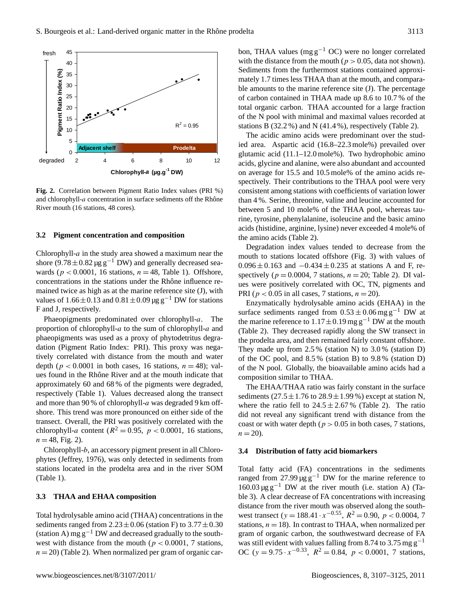

**Fig. 2.** Correlation between Pigment Ratio Index values (PRI %) and chlorophyll- $a$  concentration in surface sediments off the Rhône River mouth (16 stations, 48 cores).

#### **3.2 Pigment concentration and composition**

Chlorophyll- $a$  in the study area showed a maximum near the shore (9.78  $\pm$  0.82 µg g<sup>-1</sup> DW) and generally decreased seawards ( $p < 0.0001$ , 16 stations,  $n = 48$ , Table 1). Offshore, concentrations in the stations under the Rhône influence remained twice as high as at the marine reference site (J), with values of  $1.66 \pm 0.13$  and  $0.81 \pm 0.09$  µg g<sup>-1</sup> DW for stations F and J, respectively.

Phaeopigments predominated over chlorophyll-a. The proportion of chlorophyll-a to the sum of chlorophyll-a and phaeopigments was used as a proxy of phytodetritus degradation (Pigment Ratio Index: PRI). This proxy was negatively correlated with distance from the mouth and water depth ( $p < 0.0001$  in both cases, 16 stations,  $n = 48$ ); values found in the Rhône River and at the mouth indicate that approximately 60 and 68 % of the pigments were degraded, respectively (Table 1). Values decreased along the transect and more than 90 % of chlorophyll-a was degraded 9 km offshore. This trend was more pronounced on either side of the transect. Overall, the PRI was positively correlated with the chlorophyll-a content ( $R^2 = 0.95$ ,  $p < 0.0001$ , 16 stations,  $n = 48$ , Fig. 2).

Chlorophyll-b, an accessory pigment present in all Chlorophytes (Jeffrey, 1976), was only detected in sediments from stations located in the prodelta area and in the river SOM (Table 1).

# **3.3 THAA and EHAA composition**

Total hydrolysable amino acid (THAA) concentrations in the sediments ranged from  $2.23 \pm 0.06$  (station F) to  $3.77 \pm 0.30$ (station A) mg  $g^{-1}$  DW and decreased gradually to the southwest with distance from the mouth ( $p < 0.0001$ , 7 stations,  $n = 20$ ) (Table 2). When normalized per gram of organic car-

bon, THAA values (mg  $g^{-1}$  OC) were no longer correlated with the distance from the mouth ( $p > 0.05$ , data not shown). Sediments from the furthermost stations contained approximately 1.7 times less THAA than at the mouth, and comparable amounts to the marine reference site (J). The percentage of carbon contained in THAA made up 8.6 to 10.7 % of the total organic carbon. THAA accounted for a large fraction of the N pool with minimal and maximal values recorded at stations B (32.2 %) and N (41.4 %), respectively (Table 2).

The acidic amino acids were predominant over the studied area. Aspartic acid (16.8–22.3 mole%) prevailed over glutamic acid (11.1–12.0 mole%). Two hydrophobic amino acids, glycine and alanine, were also abundant and accounted on average for 15.5 and 10.5 mole% of the amino acids respectively. Their contributions to the THAA pool were very consistent among stations with coefficients of variation lower than 4 %. Serine, threonine, valine and leucine accounted for between 5 and 10 mole% of the THAA pool, whereas taurine, tyrosine, phenylalanine, isoleucine and the basic amino acids (histidine, arginine, lysine) never exceeded 4 mole% of the amino acids (Table 2).

Degradation index values tended to decrease from the mouth to stations located offshore (Fig. 3) with values of  $0.096 \pm 0.163$  and  $-0.434 \pm 0.235$  at stations A and F, respectively ( $p = 0.0004$ , 7 stations,  $n = 20$ ; Table 2). DI values were positively correlated with OC, TN, pigments and PRI ( $p < 0.05$  in all cases, 7 stations,  $n = 20$ ).

Enzymatically hydrolysable amino acids (EHAA) in the surface sediments ranged from  $0.53 \pm 0.06$  mg g<sup>-1</sup> DW at the marine reference to  $1.17 \pm 0.19$  mg g<sup>-1</sup> DW at the mouth (Table 2). They decreased rapidly along the SW transect in the prodelta area, and then remained fairly constant offshore. They made up from  $2.5\%$  (station N) to  $3.0\%$  (station D) of the OC pool, and 8.5 % (station B) to 9.8 % (station D) of the N pool. Globally, the bioavailable amino acids had a composition similar to THAA.

The EHAA/THAA ratio was fairly constant in the surface sediments  $(27.5 \pm 1.76$  to  $28.9 \pm 1.99$ %) except at station N, where the ratio fell to  $24.5 \pm 2.67$  % (Table 2). The ratio did not reveal any significant trend with distance from the coast or with water depth ( $p > 0.05$  in both cases, 7 stations,  $n = 20$ ).

#### **3.4 Distribution of fatty acid biomarkers**

Total fatty acid (FA) concentrations in the sediments ranged from  $27.99 \mu g g^{-1}$  DW for the marine reference to  $160.03 \,\mu g \,g^{-1}$  DW at the river mouth (i.e. station A) (Table 3). A clear decrease of FA concentrations with increasing distance from the river mouth was observed along the southwest transect (y = 188.41 ·  $x^{-0.55}$ ,  $R^2 = 0.90$ ,  $p < 0.0004$ , 7 stations,  $n = 18$ ). In contrast to THAA, when normalized per gram of organic carbon, the southwestward decrease of FA was still evident with values falling from 8.74 to 3.75 mg  $g^{-1}$ OC ( $y = 9.75 \cdot x^{-0.33}$ ,  $R^2 = 0.84$ ,  $p < 0.0001$ , 7 stations,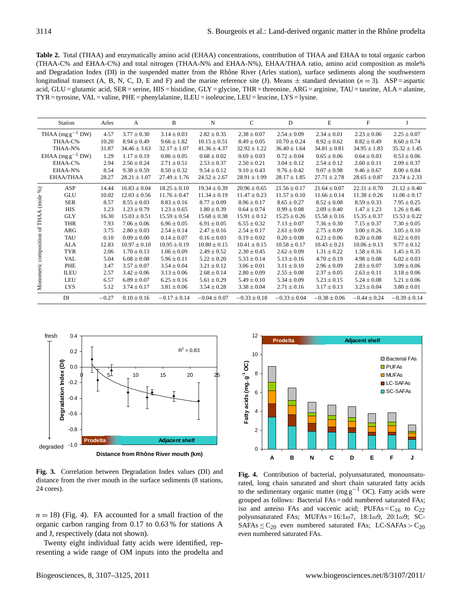**Table 2.** Total (THAA) and enzymatically amino acid (EHAA) concentrations, contribution of THAA and EHAA to total organic carbon (THAA-C% and EHAA-C%) and total nitrogen (THAA-N% and EHAA-N%), EHAA/THAA ratio, amino acid composition as mole% and Degradation Index (DI) in the suspended matter from the Rhône River (Arles station), surface sediments along the southwestern longitudinal transect (A, B, N, C, D, E and F) and the marine reference site (J). Means  $\pm$  standard deviation (n = 3). ASP = aspartic acid, GLU = glutamic acid, SER = serine, HIS = histidine, GLY = glycine, THR = threonine, ARG = arginine, TAU = taurine, ALA = alanine,  $TYR = tyrosine, VAL = value, PHE = phenylalanine, ILEU = isoleucine, LEU = leucine, LYS = lysine.$ 

|                | Station               | Arles   | A                | B                | N                | $\mathsf{C}$     | D                | Е                | F                | J                |
|----------------|-----------------------|---------|------------------|------------------|------------------|------------------|------------------|------------------|------------------|------------------|
|                | THAA $(mg g^{-1} DW)$ | 4.57    | $3.77 \pm 0.30$  | $3.14 \pm 0.03$  | $2.82 \pm 0.35$  | $2.38 \pm 0.07$  | $2.54 \pm 0.09$  | $2.34 \pm 0.01$  | $2.23 \pm 0.06$  | $2.25 \pm 0.07$  |
|                | THAA-C%               | 10.20   | $8.94 \pm 0.49$  | $9.66 \pm 1.82$  | $10.15 \pm 0.51$ | $8.49 \pm 0.05$  | $10.70 \pm 0.24$ | $8.92 \pm 0.62$  | $8.82 \pm 0.49$  | $8.60 \pm 0.74$  |
|                | THAA-N%               | 31.87   | $34.46 \pm 3.63$ | $32.17 \pm 1.07$ | $41.36 \pm 4.37$ | $32.92 \pm 1.22$ | $36.40 \pm 1.64$ | $34.81 \pm 0.81$ | $34.95 \pm 1.83$ | $35.32 \pm 1.45$ |
|                | EHAA (mg $g^{-1}$ DW) | 1.29    | $1.17 \pm 0.19$  | $0.86 \pm 0.05$  | $0.68 \pm 0.02$  | $0.69 \pm 0.03$  | $0.72 \pm 0.04$  | $0.65 \pm 0.06$  | $0.64 \pm 0.03$  | $0.53 \pm 0.06$  |
|                | EHAA-C%               | 2.94    | $2.56 \pm 0.24$  | $2.71 \pm 0.51$  | $2.53 \pm 0.37$  | $2.50 \pm 0.21$  | $3.04 \pm 0.12$  | $2.54 \pm 0.12$  | $2.60 \pm 0.11$  | $2.09 \pm 0.37$  |
|                | EHAA-N%               | 8.54    | $9.38 \pm 0.59$  | $8.50 \pm 0.32$  | $9.54 \pm 0.12$  | $9.10 \pm 0.43$  | $9.76 \pm 0.42$  | $9.07 \pm 0.98$  | $9.46 \pm 0.67$  | $8.00 \pm 0.84$  |
|                | EHAA/THAA             | 28.27   | $28.21 \pm 1.07$ | $27.49 \pm 1.76$ | $24.52 \pm 2.67$ | $28.91 \pm 1.99$ | $28.17 \pm 1.85$ | $27.71 \pm 2.78$ | $28.65 \pm 0.87$ | $23.74 \pm 2.33$ |
| $\%)$          | ASP                   | 14.44   | $16.83 \pm 0.04$ | $18.25 \pm 0.10$ | $19.34 \pm 0.39$ | $20.96 \pm 0.65$ | $21.56 \pm 0.17$ | $21.64 \pm 0.07$ | $22.31 \pm 0.70$ | $21.12 \pm 0.40$ |
|                | GLU                   | 10.02   | $12.03 \pm 0.56$ | $11.76 \pm 0.47$ | $11.34 \pm 0.19$ | $11.47 \pm 0.23$ | $11.57 \pm 0.10$ | $11.66 \pm 0.14$ | $11.38 \pm 0.26$ | $11.06 \pm 0.17$ |
| (mole          | <b>SER</b>            | 8.57    | $8.55 \pm 0.03$  | $8.83 \pm 0.16$  | $8.77 \pm 0.09$  | $8.96 \pm 0.17$  | $8.65 \pm 0.27$  | $8.52 \pm 0.08$  | $8.59 \pm 0.33$  | $7.95 \pm 0.25$  |
|                | HIS                   | 1.23    | $1.23 \pm 0.79$  | $1.23 \pm 0.65$  | $1.80 \pm 0.39$  | $0.64 \pm 0.74$  | $0.99 \pm 0.08$  | $2.09 \pm 0.40$  | $1.47 \pm 1.23$  | $1.26 \pm 0.46$  |
| THAA           | <b>GLY</b>            | 16.30   | $15.03 \pm 0.51$ | $15.59 \pm 0.54$ | $15.68 \pm 0.38$ | $15.91 \pm 0.12$ | $15.25 \pm 0.26$ | $15.58 \pm 0.16$ | $15.35 \pm 0.37$ | $15.53 \pm 0.22$ |
|                | <b>THR</b>            | 7.93    | $7.06 \pm 0.06$  | $6.96 \pm 0.05$  | $6.91 \pm 0.05$  | $6.55 \pm 0.32$  | $7.13 \pm 0.07$  | $7.36 \pm 0.30$  | $7.15 \pm 0.37$  | $7.30 \pm 0.05$  |
| composition of | ARG                   | 3.75    | $2.80 \pm 0.03$  | $2.54 \pm 0.14$  | $2.47 \pm 0.16$  | $2.54 \pm 0.17$  | $2.61 \pm 0.09$  | $2.75 \pm 0.09$  | $3.00 \pm 0.26$  | $3.05 \pm 0.10$  |
|                | <b>TAU</b>            | 0.10    | $0.09 \pm 0.00$  | $0.14 \pm 0.07$  | $0.16 \pm 0.03$  | $0.19 \pm 0.02$  | $0.20 \pm 0.08$  | $0.23 \pm 0.06$  | $0.20 \pm 0.08$  | $0.22 \pm 0.01$  |
|                | <b>ALA</b>            | 12.83   | $10.97 \pm 0.10$ | $10.95 \pm 0.19$ | $10.80 \pm 0.15$ | $10.41 \pm 0.15$ | $10.58 \pm 0.17$ | $10.43 \pm 0.21$ | $10.06 \pm 0.13$ | $9.77 \pm 0.12$  |
|                | <b>TYR</b>            | 2.06    | $1.70 \pm 0.13$  | $1.06 \pm 0.09$  | $2.49 \pm 0.52$  | $2.30 \pm 0.45$  | $2.62 \pm 0.09$  | $1.31 \pm 0.22$  | $1.58 \pm 0.16$  | $1.45 \pm 0.35$  |
|                | <b>VAL</b>            | 5.04    | $6.08 \pm 0.08$  | $5.96 \pm 0.11$  | $5.22 \pm 0.20$  | $5.33 \pm 0.14$  | $5.13 \pm 0.16$  | $4.70 \pm 0.19$  | $4.98 \pm 0.08$  | $6.02 \pm 0.03$  |
|                | PHE                   | 3.47    | $3.57 \pm 0.07$  | $3.54 \pm 0.04$  | $3.21 \pm 0.12$  | $3.06 \pm 0.01$  | $3.11 \pm 0.10$  | $2.96 \pm 0.09$  | $2.83 \pm 0.07$  | $3.09 \pm 0.06$  |
|                | <b>ILEU</b>           | 2.57    | $3.42 \pm 0.06$  | $3.13 \pm 0.06$  | $2.68 \pm 0.14$  | $2.80 \pm 0.09$  | $2.55 \pm 0.08$  | $2.37 \pm 0.05$  | $2.63 \pm 0.11$  | $3.18 \pm 0.06$  |
|                | LEU                   | 6.57    | $6.89 \pm 0.07$  | $6.25 \pm 0.16$  | $5.61 \pm 0.29$  | $5.49 \pm 0.10$  | $5.34 \pm 0.09$  | $5.23 \pm 0.15$  | $5.24 \pm 0.08$  | $5.21 \pm 0.06$  |
| Monomeric      | <b>LYS</b>            | 5.12    | $3.74 \pm 0.17$  | $3.81 \pm 0.06$  | $3.54 \pm 0.28$  | $3.38 \pm 0.04$  | $2.71 \pm 0.16$  | $3.17 \pm 0.13$  | $3.23 \pm 0.04$  | $3.80 \pm 0.01$  |
|                | DI                    | $-0.27$ | $0.10 \pm 0.16$  | $-0.17 \pm 0.14$ | $-0.04 \pm 0.07$ | $-0.33 \pm 0.18$ | $-0.33 \pm 0.04$ | $-0.38 \pm 0.06$ | $-0.44 \pm 0.24$ | $-0.39 + 0.14$   |



**Fig. 3.** Correlation between Degradation Index values (DI) and distance from the river mouth in the surface sediments (8 stations,

 $n = 18$ ) (Fig. 4). FA accounted for a small fraction of the organic carbon ranging from 0.17 to 0.63 % for stations A and J, respectively (data not shown).

Twenty eight individual fatty acids were identified, representing a wide range of OM inputs into the prodelta and



**Fig. 4.** Contribution of bacterial, polyunsaturated, monounsaturated, long chain saturated and short chain saturated fatty acids to the sedimentary organic matter (mg  $g^{-1}$  OC). Fatty acids were grouped as follows: Bacterial FAs = odd numbered saturated FAs; iso and anteiso FAs and vaccenic acid; PUFAs =  $C_{16}$  to  $C_{22}$ polyunsaturated FAs; MUFAs =  $16:1\omega$ 7, 18: $1\omega$ 9, 20: $1\omega$ 9; SC- $SAFAs \leq C_{20}$  even numbered saturated FAs; LC-SAFAs > C<sub>20</sub> even numbered saturated FAs.

24 cores).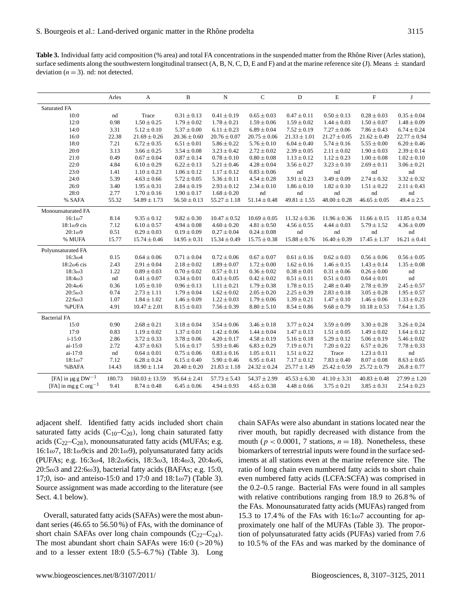Table 3. Individual fatty acid composition (% area) and total FA concentrations in the suspended matter from the Rhône River (Arles station), surface sediments along the southwestern longitudinal transect (A, B, N, C, D, E and F) and at the marine reference site (J). Means  $\pm$  standard deviation  $(n = 3)$ . nd: not detected.

|                                    | Arles       | A                  | B                | ${\bf N}$        | $\mathsf{C}$     | $\mathbf D$      | E                | F                | J                |
|------------------------------------|-------------|--------------------|------------------|------------------|------------------|------------------|------------------|------------------|------------------|
| Saturated FA                       |             |                    |                  |                  |                  |                  |                  |                  |                  |
| 10:0                               | nd          | Trace              | $0.31 \pm 0.13$  | $0.41 \pm 0.19$  | $0.65 \pm 0.03$  | $0.47 \pm 0.11$  | $0.50 \pm 0.13$  | $0.28 \pm 0.03$  | $0.35 \pm 0.04$  |
| 12:0                               | 0.98        | $1.50 \pm 0.25$    | $1.79 \pm 0.02$  | $1.78 \pm 0.21$  | $1.59 \pm 0.06$  | $1.59 \pm 0.02$  | $1.44 \pm 0.03$  | $1.50 \pm 0.07$  | $1.48 \pm 0.09$  |
| 14:0                               | 3.31        | $5.12 \pm 0.10$    | $5.37 \pm 0.00$  | $6.11 \pm 0.23$  | $6.89 \pm 0.04$  | $7.52 \pm 0.19$  | $7.27 \pm 0.06$  | $7.86 \pm 0.43$  | $6.74 \pm 0.24$  |
| 16:0                               | 22.38       | $21.69 \pm 0.26$   | $20.36 \pm 0.60$ | $20.76 \pm 0.07$ | $20.75 \pm 0.06$ | $21.33 \pm 1.01$ | $21.27 \pm 0.05$ | $21.62 \pm 0.49$ | $22.77 \pm 0.94$ |
| 18:0                               | 7.21        | $6.72 \pm 0.35$    | $6.51 \pm 0.01$  | $5.86 \pm 0.22$  | $5.76 \pm 0.10$  | $6.04 \pm 0.40$  | $5.74 \pm 0.16$  | $5.55 \pm 0.00$  | $6.20 \pm 0.46$  |
| 20:0                               | 3.13        | $3.66 \pm 0.25$    | $3.54 \pm 0.08$  | $3.23 \pm 0.42$  | $2.72 \pm 0.02$  | $2.39 \pm 0.05$  | $2.11 \pm 0.02$  | $1.90 \pm 0.03$  | $2.39 \pm 0.14$  |
| 21:0                               | 0.49        | $0.67 \pm 0.04$    | $0.87 \pm 0.14$  | $0.78 \pm 0.10$  | $0.80 \pm 0.08$  | $1.13 \pm 0.12$  | $1.12 \pm 0.23$  | $1.00 \pm 0.08$  | $1.02 \pm 0.10$  |
| 22:0                               | 4.84        | $6.10 \pm 0.29$    | $6.22 \pm 0.13$  | $5.21 \pm 0.46$  | $4.28 \pm 0.04$  | $3.56 \pm 0.27$  | $3.23 \pm 0.10$  | $2.69 \pm 0.11$  | $3.06 \pm 0.21$  |
| 23:0                               | 1.41        | $1.10 \pm 0.23$    | $1.06 \pm 0.12$  | $1.17 \pm 0.12$  | $0.83 \pm 0.06$  | nd               | nd               | nd               | nd               |
| 24:0                               | 5.39        | $4.63 \pm 0.66$    | $5.72 \pm 0.05$  | $5.36 \pm 0.11$  | $4.54 \pm 0.28$  | $3.91 \pm 0.23$  | $3.49 \pm 0.09$  | $2.74 \pm 0.32$  | $3.32 \pm 0.32$  |
| 26:0                               | 3.40        | $1.95 \pm 0.31$    | $2.84 \pm 0.19$  | $2.93 \pm 0.12$  | $2.34 \pm 0.10$  | $1.86 \pm 0.10$  | $1.82 \pm 0.10$  | $1.51 \pm 0.22$  | $2.11 \pm 0.43$  |
| 28:0                               | 2.77        | $1.70 \pm 0.16$    | $1.90 \pm 0.17$  | $1.68 \pm 0.20$  | nd               | nd               | nd               | nd               | nd               |
| % SAFA                             | 55.32       | $54.89 \pm 1.73$   | $56.50 \pm 0.13$ | $55.27 \pm 1.18$ | $51.14 \pm 0.48$ | $49.81 \pm 1.55$ | $48.00 \pm 0.28$ | $46.65 \pm 0.05$ | $49.4 \pm 2.5$   |
| Monounsaturated FA                 |             |                    |                  |                  |                  |                  |                  |                  |                  |
| $16:1\omega$ 7                     | 8.14        | $9.35 \pm 0.12$    | $9.82 \pm 0.30$  | $10.47 \pm 0.52$ | $10.69 \pm 0.05$ | $11.32 \pm 0.36$ | $11.96 \pm 0.36$ | $11.66 \pm 0.15$ | $11.85 \pm 0.34$ |
| $18:1\omega$ 9 cis                 | 7.12        | $6.10 \pm 0.57$    | $4.94 \pm 0.08$  | $4.60 \pm 0.20$  | $4.81 \pm 0.50$  | $4.56 \pm 0.55$  | $4.44 \pm 0.03$  | $5.79 \pm 1.52$  | $4.36 \pm 0.09$  |
| $20:1\omega9$                      | 0.51        | $0.29 \pm 0.03$    | $0.19 \pm 0.09$  | $0.27 \pm 0.04$  | $0.24 \pm 0.08$  | nd               | nd               | nd               | nd               |
| % MUFA                             | 15.77       | $15.74 \pm 0.46$   | $14.95 \pm 0.31$ | $15.34 \pm 0.49$ | $15.75 \pm 0.38$ | $15.88 \pm 0.76$ | $16.40 \pm 0.39$ | $17.45 \pm 1.37$ | $16.21 \pm 0.41$ |
| Polyunsaturated FA                 |             |                    |                  |                  |                  |                  |                  |                  |                  |
| $16:3\omega 4$                     | 0.15        | $0.64 \pm 0.06$    | $0.71 \pm 0.04$  | $0.72 \pm 0.06$  | $0.67 \pm 0.07$  | $0.61 \pm 0.16$  | $0.62 \pm 0.03$  | $0.56 \pm 0.06$  | $0.56 \pm 0.05$  |
| $18:2\omega$ 6 cis                 | 2.43        | $2.91 \pm 0.04$    | $2.18 \pm 0.02$  | $1.89 \pm 0.07$  | $1.72 \pm 0.00$  | $1.62 \pm 0.16$  | $1.46 \pm 0.15$  | $1.43 \pm 0.14$  | $1.35 \pm 0.08$  |
| $18:3\omega3$                      | 1.22        | $0.89 \pm 0.03$    | $0.70 \pm 0.02$  | $0.57 \pm 0.11$  | $0.36 \pm 0.02$  | $0.38 \pm 0.01$  | $0.31 \pm 0.06$  | $0.26 \pm 0.00$  | nd               |
| $18:4\omega3$                      | $^{\rm nd}$ | $0.41 \pm 0.07$    | $0.34 \pm 0.01$  | $0.43 \pm 0.05$  | $0.42 \pm 0.02$  | $0.51 \pm 0.11$  | $0.51 \pm 0.03$  | $0.64 \pm 0.01$  | nd               |
| $20:4\omega$ 6                     | 0.36        | $1.05 \pm 0.10$    | $0.96 \pm 0.13$  | $1.11 \pm 0.21$  | $1.79 \pm 0.38$  | $1.78 \pm 0.15$  | $2.48 \pm 0.40$  | $2.78 \pm 0.39$  | $2.45 \pm 0.57$  |
| $20:5\omega3$                      | 0.74        | $2.73 \pm 1.11$    | $1.79 \pm 0.04$  | $1.62 \pm 0.02$  | $2.05 \pm 0.20$  | $2.25 \pm 0.39$  | $2.83 \pm 0.18$  | $3.05 \pm 0.28$  | $1.95 \pm 0.57$  |
| $22:6\omega3$                      | 1.07        | $1.84 \pm 1.02$    | $1.46 \pm 0.09$  | $1.22 \pm 0.03$  | $1.79 \pm 0.06$  | $1.39 \pm 0.21$  | $1.47 \pm 0.10$  | $1.46 \pm 0.06$  | $1.33 \pm 0.23$  |
| %PUFA                              | 4.91        | $10.47 \pm 2.01$   | $8.15 \pm 0.03$  | $7.56 \pm 0.39$  | $8.80 \pm 5.10$  | $8.54 \pm 0.86$  | $9.68 \pm 0.79$  | $10.18 \pm 0.53$ | $7.64 \pm 1.35$  |
| <b>Bacterial FA</b>                |             |                    |                  |                  |                  |                  |                  |                  |                  |
| 15:0                               | 0.90        | $2.68 \pm 0.21$    | $3.18 \pm 0.04$  | $3.54 \pm 0.06$  | $3.46 \pm 0.18$  | $3.77 \pm 0.24$  | $3.59 \pm 0.09$  | $3.30 \pm 0.28$  | $3.26 \pm 0.24$  |
| 17:0                               | 0.83        | $1.19 \pm 0.02$    | $1.37 \pm 0.01$  | $1.42 \pm 0.06$  | $1.44 \pm 0.04$  | $1.47 \pm 0.13$  | $1.51 \pm 0.05$  | $1.49 \pm 0.02$  | $1.64 \pm 0.12$  |
| $i - 15:0$                         | 2.86        | $3.72 \pm 0.33$    | $3.78 \pm 0.06$  | $4.20 \pm 0.17$  | $4.58 \pm 0.19$  | $5.16 \pm 0.18$  | $5.29 \pm 0.12$  | $5.06 \pm 0.19$  | $5.46 \pm 0.02$  |
| ai-15:0                            | 2.72        | $4.37 \pm 0.63$    | $5.16 \pm 0.17$  | $5.93 \pm 0.46$  | $6.83 \pm 0.29$  | $7.19 \pm 0.71$  | $7.20 \pm 0.22$  | $6.57 \pm 0.26$  | $7.78 \pm 0.33$  |
| ai-17:0                            | nd          | $0.64 \pm 0.01$    | $0.75 \pm 0.06$  | $0.83 \pm 0.16$  | $1.05 \pm 0.11$  | $1.51 \pm 0.22$  | Trace            | $1.23 \pm 0.11$  | nd               |
| $18:1\omega$ 7                     | 7.12        | $6.28 \pm 0.24$    | $6.15 \pm 0.40$  | $5.90 \pm 0.46$  | $6.95 \pm 0.41$  | $7.17 \pm 0.12$  | $7.83 \pm 0.40$  | $8.07 \pm 0.08$  | $8.63 \pm 0.65$  |
| %BAFA                              | 14.43       | $18.90 \pm 1.14$   | $20.40 \pm 0.20$ | $21.83 \pm 1.18$ | $24.32 \pm 0.24$ | $25.77 \pm 1.49$ | $25.42 \pm 0.59$ | $25.72 \pm 0.79$ | $26.8 \pm 0.77$  |
| [FA] in $\mu$ g g DW <sup>-1</sup> | 180.73      | $160.03 \pm 13.59$ | $95.64 \pm 2.41$ | $57.73 \pm 5.43$ | $54.37 \pm 2.99$ | $45.53 \pm 6.30$ | $41.10 \pm 3.31$ | $40.83 \pm 0.48$ | $27.99 \pm 1.20$ |
| [FA] in mg g C org <sup>-1</sup>   | 9.41        | $8.74 \pm 0.48$    | $6.45 \pm 0.06$  | $4.94 \pm 0.93$  | $4.65 \pm 0.38$  | $4.48 \pm 0.66$  | $3.75 \pm 0.21$  | $3.85 \pm 0.31$  | $2.54 \pm 0.23$  |
|                                    |             |                    |                  |                  |                  |                  |                  |                  |                  |

adjacent shelf. Identified fatty acids included short chain saturated fatty acids  $(C_{10}-C_{20})$ , long chain saturated fatty acids ( $C_{22}-C_{28}$ ), monounsaturated fatty acids (MUFAs; e.g.  $16:1\omega$ 7, 18:1 $\omega$ 9cis and 20:1 $\omega$ 9), polyunsaturated fatty acids (PUFAs; e.g. 16:3ω4, 18:2ω6cis, 18:3ω3, 18:4ω3, 20:4ω6,  $20:5\omega3$  and  $22:6\omega3$ ), bacterial fatty acids (BAFAs; e.g. 15:0, 17;0, iso- and anteiso-15:0 and 17:0 and 18:1 $\omega$ 7) (Table 3). Source assignment was made according to the literature (see Sect. 4.1 below).

Overall, saturated fatty acids (SAFAs) were the most abundant series (46.65 to 56.50 %) of FAs, with the dominance of short chain SAFAs over long chain compounds  $(C_{22}-C_{24})$ . The most abundant short chain SAFAs were  $16:0$  ( $>20\%$ ) and to a lesser extent 18:0 (5.5–6.7 %) (Table 3). Long chain SAFAs were also abundant in stations located near the river mouth, but rapidly decreased with distance from the mouth ( $p < 0.0001$ , 7 stations,  $n = 18$ ). Nonetheless, these biomarkers of terrestrial inputs were found in the surface sediments at all stations even at the marine reference site. The ratio of long chain even numbered fatty acids to short chain even numbered fatty acids (LCFA:SCFA) was comprised in the 0.2–0.5 range. Bacterial FAs were found in all samples with relative contributions ranging from 18.9 to 26.8 % of the FAs. Monounsaturated fatty acids (MUFAs) ranged from 15.3 to 17.4% of the FAs with  $16:1\omega$ 7 accounting for approximately one half of the MUFAs (Table 3). The proportion of polyunsaturated fatty acids (PUFAs) varied from 7.6 to 10.5 % of the FAs and was marked by the dominance of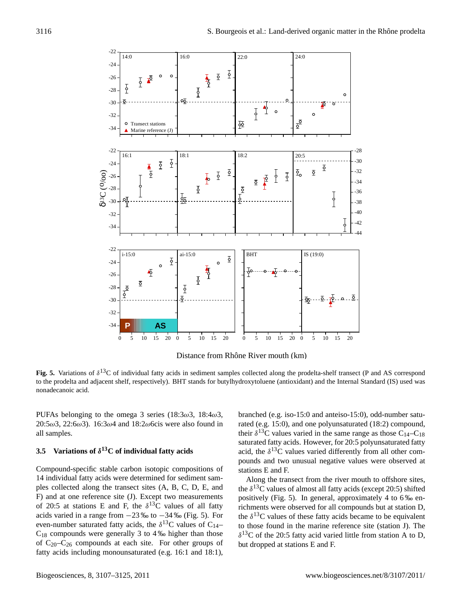

Distance from Rhône River mouth (km)

Fig. 5. Variations of  $\delta^{13}C$  of individual fatty acids in sediment samples collected along the prodelta-shelf transect (P and AS correspond to the prodelta and adjacent shelf, respectively). BHT stands for butylhydroxytoluene (antioxidant) and the Internal Standard (IS) used was nonadecanoic acid.

PUFAs belonging to the omega 3 series (18:3 $\omega$ 3, 18:4 $\omega$ 3, 20:5ω3, 22:6ω3). 16:3ω4 and 18:2ω6cis were also found in all samples.

# **3.5 Variations of** δ **<sup>13</sup>C of individual fatty acids**

Compound-specific stable carbon isotopic compositions of 14 individual fatty acids were determined for sediment samples collected along the transect sites (A, B, C, D, E, and F) and at one reference site (J). Except two measurements of 20:5 at stations E and F, the  $\delta^{13}$ C values of all fatty acids varied in a range from −23 ‰ to −34 ‰ (Fig. 5). For even-number saturated fatty acids, the  $\delta^{13}$ C values of C<sub>14</sub>–  $C_{18}$  compounds were generally 3 to 4 ‰ higher than those of  $C_{20}-C_{26}$  compounds at each site. For other groups of fatty acids including monounsaturated (e.g. 16:1 and 18:1),

branched (e.g. iso-15:0 and anteiso-15:0), odd-number saturated (e.g. 15:0), and one polyunsaturated (18:2) compound, their  $\delta^{13}$ C values varied in the same range as those C<sub>14</sub>-C<sub>18</sub> saturated fatty acids. However, for 20:5 polyunsaturated fatty acid, the  $\delta^{13}$ C values varied differently from all other compounds and two unusual negative values were observed at stations E and F.

Along the transect from the river mouth to offshore sites, the  $\delta^{13}$ C values of almost all fatty acids (except 20:5) shifted positively (Fig. 5). In general, approximately 4 to 6 ‰ enrichments were observed for all compounds but at station D, the  $\delta^{13}$ C values of these fatty acids became to be equivalent to those found in the marine reference site (station J). The  $\delta^{13}$ C of the 20:5 fatty acid varied little from station A to D, but dropped at stations E and F.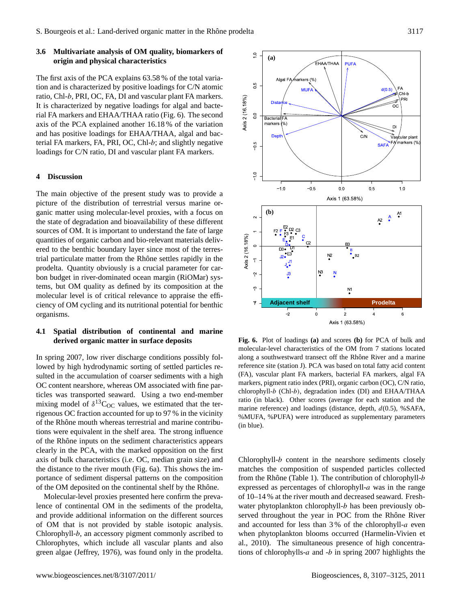# **3.6 Multivariate analysis of OM quality, biomarkers of origin and physical characteristics**

The first axis of the PCA explains 63.58 % of the total variation and is characterized by positive loadings for C/N atomic ratio, Chl-b, PRI, OC, FA, DI and vascular plant FA markers. It is characterized by negative loadings for algal and bacterial FA markers and EHAA/THAA ratio (Fig. 6). The second axis of the PCA explained another 16.18 % of the variation and has positive loadings for EHAA/THAA, algal and bacterial FA markers, FA, PRI, OC, Chl-b; and slightly negative loadings for C/N ratio, DI and vascular plant FA markers.

### **4 Discussion**

The main objective of the present study was to provide a picture of the distribution of terrestrial versus marine or ganic matter using molecular-level proxies, with a focus on the state of degradation and bioavailability of these different sources of OM. It is important to understand the fate of large quantities of organic carbon and bio-relevant materials delivered to the benthic boundary layer since most of the terrestrial particulate matter from the Rhône settles rapidly in the prodelta. Quantity obviously is a crucial parameter for carbon budget in river-dominated ocean margin (RiOMar) systems, but OM quality as defined by its composition at the molecular level is of critical relevance to appraise the efficiency of OM cycling and its nutritional potential for benthic organisms.

# **4.1 Spatial distribution of continental and marine derived organic matter in surface deposits**

In spring 2007, low river discharge conditions possibly followed by high hydrodynamic sorting of settled particles resulted in the accumulation of coarser sediments with a high OC content nearshore, whereas OM associated with fine particles was transported seaward. Using a two end-member mixing model of  $\delta^{13}C_{\text{OC}}$  values, we estimated that the terrigenous OC fraction accounted for up to 97 % in the vicinity of the Rhône mouth whereas terrestrial and marine contributions were equivalent in the shelf area. The strong influence of the Rhône inputs on the sediment characteristics appears clearly in the PCA, with the marked opposition on the first axis of bulk characteristics (i.e. OC, median grain size) and the distance to the river mouth (Fig. 6a). This shows the importance of sediment dispersal patterns on the composition of the OM deposited on the continental shelf by the Rhône.

Molecular-level proxies presented here confirm the prevalence of continental OM in the sediments of the prodelta, and provide additional information on the different sources of OM that is not provided by stable isotopic analysis. Chlorophyll-b, an accessory pigment commonly ascribed to Chlorophytes, which include all vascular plants and also green algae (Jeffrey, 1976), was found only in the prodelta.



**Fig. 6.** Plot of loadings **(a)** and scores **(b)** for PCA of bulk and molecular-level characteristics of the OM from 7 stations located along a southwestward transect off the Rhône River and a marine reference site (station J). PCA was based on total fatty acid content (FA), vascular plant FA markers, bacterial FA markers, algal FA markers, pigment ratio index (PRI), organic carbon (OC), C/N ratio, chlorophyll-b (Chl-b), degradation index (DI) and EHAA/THAA ratio (in black). Other scores (average for each station and the marine reference) and loadings (distance, depth,  $d(0.5)$ , %SAFA, %MUFA, %PUFA) were introduced as supplementary parameters (in blue).

 $Chlorophyll-b$  content in the nearshore sediments closely matches the composition of suspended particles collected from the Rhône (Table 1). The contribution of chlorophyll- $b$ expressed as percentages of chlorophyll-a was in the range of 10–14 % at the river mouth and decreased seaward. Freshwater phytoplankton chlorophyll-b has been previously observed throughout the year in POC from the Rhône River and accounted for less than 3 % of the chlorophyll-a even when phytoplankton blooms occurred (Harmelin-Vivien et al., 2010). The simultaneous presence of high concentrations of chlorophylls- $a$  and  $-b$  in spring 2007 highlights the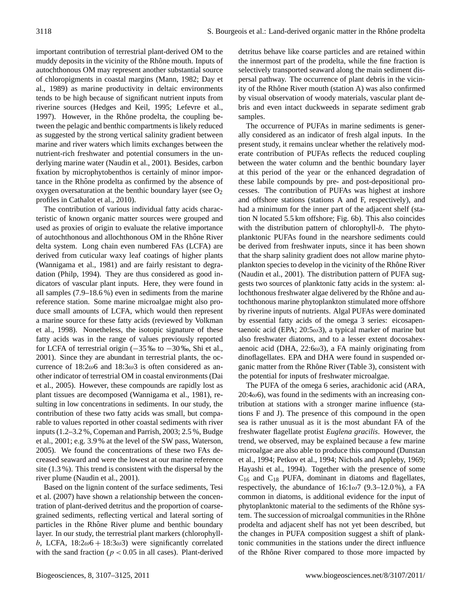important contribution of terrestrial plant-derived OM to the muddy deposits in the vicinity of the Rhône mouth. Inputs of autochthonous OM may represent another substantial source of chloropigments in coastal margins (Mann, 1982; Day et al., 1989) as marine productivity in deltaic environments tends to be high because of significant nutrient inputs from riverine sources (Hedges and Keil, 1995; Lefevre et al., 1997). However, in the Rhône prodelta, the coupling between the pelagic and benthic compartments is likely reduced as suggested by the strong vertical salinity gradient between marine and river waters which limits exchanges between the nutrient-rich freshwater and potential consumers in the underlying marine water (Naudin et al., 2001). Besides, carbon fixation by microphytobenthos is certainly of minor importance in the Rhône prodelta as confirmed by the absence of oxygen oversaturation at the benthic boundary layer (see  $O_2$ ) profiles in Cathalot et al., 2010).

The contribution of various individual fatty acids characteristic of known organic matter sources were grouped and used as proxies of origin to evaluate the relative importance of autochthonous and allochthonous OM in the Rhône River delta system. Long chain even numbered FAs (LCFA) are derived from cuticular waxy leaf coatings of higher plants (Wannigama et al., 1981) and are fairly resistant to degradation (Philp, 1994). They are thus considered as good indicators of vascular plant inputs. Here, they were found in all samples (7.9–18.6 %) even in sediments from the marine reference station. Some marine microalgae might also produce small amounts of LCFA, which would then represent a marine source for these fatty acids (reviewed by Volkman et al., 1998). Nonetheless, the isotopic signature of these fatty acids was in the range of values previously reported for LCFA of terrestrial origin  $(-35\% \text{ to } -30\% \text{),}$  Shi et al., 2001). Since they are abundant in terrestrial plants, the occurrence of  $18:2\omega 6$  and  $18:3\omega 3$  is often considered as another indicator of terrestrial OM in coastal environments (Dai et al., 2005). However, these compounds are rapidly lost as plant tissues are decomposed (Wannigama et al., 1981), resulting in low concentrations in sediments. In our study, the contribution of these two fatty acids was small, but comparable to values reported in other coastal sediments with river inputs (1.2–3.2 %, Copeman and Parrish, 2003; 2.5 %, Budge et al., 2001; e.g. 3.9 % at the level of the SW pass, Waterson, 2005). We found the concentrations of these two FAs decreased seaward and were the lowest at our marine reference site (1.3 %). This trend is consistent with the dispersal by the river plume (Naudin et al., 2001).

Based on the lignin content of the surface sediments, Tesi et al. (2007) have shown a relationship between the concentration of plant-derived detritus and the proportion of coarsegrained sediments, reflecting vertical and lateral sorting of particles in the Rhône River plume and benthic boundary layer. In our study, the terrestrial plant markers (chlorophyllb, LCFA,  $18:2\omega 6 + 18:3\omega 3$  were significantly correlated with the sand fraction ( $p < 0.05$  in all cases). Plant-derived detritus behave like coarse particles and are retained within the innermost part of the prodelta, while the fine fraction is selectively transported seaward along the main sediment dispersal pathway. The occurrence of plant debris in the vicinity of the Rhône River mouth (station  $A$ ) was also confirmed by visual observation of woody materials, vascular plant debris and even intact duckweeds in separate sediment grab samples.

The occurrence of PUFAs in marine sediments is generally considered as an indicator of fresh algal inputs. In the present study, it remains unclear whether the relatively moderate contribution of PUFAs reflects the reduced coupling between the water column and the benthic boundary layer at this period of the year or the enhanced degradation of these labile compounds by pre- and post-depositional processes. The contribution of PUFAs was highest at inshore and offshore stations (stations A and F, respectively), and had a minimum for the inner part of the adjacent shelf (station N located 5.5 km offshore; Fig. 6b). This also coincides with the distribution pattern of chlorophyll-b. The phytoplanktonic PUFAs found in the nearshore sediments could be derived from freshwater inputs, since it has been shown that the sharp salinity gradient does not allow marine phytoplankton species to develop in the vicinity of the Rhône River (Naudin et al., 2001). The distribution pattern of PUFA suggests two sources of planktonic fatty acids in the system: allochthonous freshwater algae delivered by the Rhône and autochthonous marine phytoplankton stimulated more offshore by riverine inputs of nutrients. Algal PUFAs were dominated by essential fatty acids of the omega 3 series: eicosapentaenoic acid (EPA;  $20:5\omega3$ ), a typical marker of marine but also freshwater diatoms, and to a lesser extent docosahexaenoic acid (DHA, 22:6 $\omega$ 3), a FA mainly originating from dinoflagellates. EPA and DHA were found in suspended organic matter from the Rhône River (Table 3), consistent with the potential for inputs of freshwater microalgae.

The PUFA of the omega 6 series, arachidonic acid (ARA,  $20:4\omega$ 6), was found in the sediments with an increasing contribution at stations with a stronger marine influence (stations F and J). The presence of this compound in the open sea is rather unusual as it is the most abundant FA of the freshwater flagellate protist *Euglena gracilis*. However, the trend, we observed, may be explained because a few marine microalgae are also able to produce this compound (Dunstan et al., 1994; Petkov et al., 1994; Nichols and Appleby, 1969; Hayashi et al., 1994). Together with the presence of some  $C_{16}$  and  $C_{18}$  PUFA, dominant in diatoms and flagellates, respectively, the abundance of  $16:1\omega$ 7 (9.3–12.0%), a FA common in diatoms, is additional evidence for the input of phytoplanktonic material to the sediments of the Rhône system. The succession of microalgal communities in the Rhône prodelta and adjacent shelf has not yet been described, but the changes in PUFA composition suggest a shift of planktonic communities in the stations under the direct influence of the Rhône River compared to those more impacted by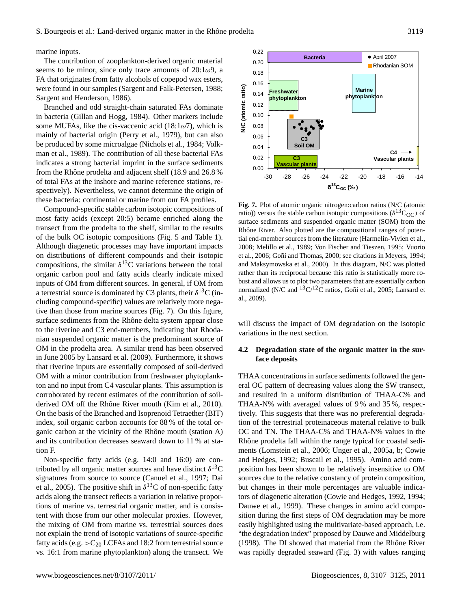marine inputs.

The contribution of zooplankton-derived organic material seems to be minor, since only trace amounts of  $20:1\omega$ 9, a FA that originates from fatty alcohols of copepod wax esters, were found in our samples (Sargent and Falk-Petersen, 1988; Sargent and Henderson, 1986).

Branched and odd straight-chain saturated FAs dominate in bacteria (Gillan and Hogg, 1984). Other markers include some MUFAs, like the cis-vaccenic acid (18:1 $\omega$ 7), which is mainly of bacterial origin (Perry et al., 1979), but can also be produced by some microalgae (Nichols et al., 1984; Volkman et al., 1989). The contribution of all these bacterial FAs indicates a strong bacterial imprint in the surface sediments from the Rhône prodelta and adjacent shelf  $(18.9 \text{ and } 26.8 \text{ %})$ of total FAs at the inshore and marine reference stations, respectively). Nevertheless, we cannot determine the origin of these bacteria: continental or marine from our FA profiles.

Compound-specific stable carbon isotopic compositions of most fatty acids (except 20:5) became enriched along the transect from the prodelta to the shelf, similar to the results of the bulk OC isotopic compositions (Fig. 5 and Table 1). Although diagenetic processes may have important impacts on distributions of different compounds and their isotopic compositions, the similar  $\delta^{13}$ C variations between the total organic carbon pool and fatty acids clearly indicate mixed inputs of OM from different sources. In general, if OM from a terrestrial source is dominated by C3 plants, their  $\delta^{13}C$  (including compound-specific) values are relatively more negative than those from marine sources (Fig. 7). On this figure, surface sediments from the Rhône delta system appear close to the riverine and C3 end-members, indicating that Rhodanian suspended organic matter is the predominant source of OM in the prodelta area. A similar trend has been observed in June 2005 by Lansard et al. (2009). Furthermore, it shows that riverine inputs are essentially composed of soil-derived OM with a minor contribution from freshwater phytoplankton and no input from C4 vascular plants. This assumption is corroborated by recent estimates of the contribution of soilderived OM off the Rhône River mouth (Kim et al., 2010). On the basis of the Branched and Isoprenoid Tetraether (BIT) index, soil organic carbon accounts for 88 % of the total organic carbon at the vicinity of the Rhône mouth (station  $A$ ) and its contribution decreases seaward down to 11 % at station F.

Non-specific fatty acids (e.g. 14:0 and 16:0) are contributed by all organic matter sources and have distinct  $\delta^{13}$ C signatures from source to source (Canuel et al., 1997; Dai et al., 2005). The positive shift in  $\delta^{13}$ C of non-specific fatty acids along the transect reflects a variation in relative proportions of marine vs. terrestrial organic matter, and is consistent with those from our other molecular proxies. However, the mixing of OM from marine vs. terrestrial sources does not explain the trend of isotopic variations of source-specific fatty acids (e.g.  $>C_{20}$  LCFAs and 18:2 from terrestrial source vs. 16:1 from marine phytoplankton) along the transect. We



**Fig. 7.** Plot of atomic organic nitrogen:carbon ratios (N/C (atomic ratio)) versus the stable carbon isotopic compositions ( $\delta^{13}C_{\text{OC}}$ ) of surface sediments and suspended organic matter (SOM) from the Rhône River. Also plotted are the compositional ranges of potential end-member sources from the literature (Harmelin-Vivien et al., 2008; Melillo et al., 1989; Von Fischer and Tieszen, 1995; Vuorio et al., 2006; Goñi and Thomas, 2000; see citations in Meyers, 1994; and Maksymowska et al., 2000). In this diagram, N/C was plotted rather than its reciprocal because this ratio is statistically more robust and allows us to plot two parameters that are essentially carbon normalized (N/C and  $^{13}C/^{12}C$  ratios, Goñi et al., 2005; Lansard et al., 2009).

will discuss the impact of OM degradation on the isotopic variations in the next section.

# **4.2 Degradation state of the organic matter in the surface deposits**

THAA concentrations in surface sediments followed the general OC pattern of decreasing values along the SW transect, and resulted in a uniform distribution of THAA-C% and THAA-N% with averaged values of 9 % and 35 %, respectively. This suggests that there was no preferential degradation of the terrestrial proteinaceous material relative to bulk OC and TN. The THAA-C% and THAA-N% values in the Rhône prodelta fall within the range typical for coastal sediments (Lomstein et al., 2006; Unger et al., 2005a, b; Cowie and Hedges, 1992; Buscail et al., 1995). Amino acid composition has been shown to be relatively insensitive to OM sources due to the relative constancy of protein composition, but changes in their mole percentages are valuable indicators of diagenetic alteration (Cowie and Hedges, 1992, 1994; Dauwe et al., 1999). These changes in amino acid composition during the first steps of OM degradation may be more easily highlighted using the multivariate-based approach, i.e. "the degradation index" proposed by Dauwe and Middelburg  $(1998)$ . The DI showed that material from the Rhône River was rapidly degraded seaward (Fig. 3) with values ranging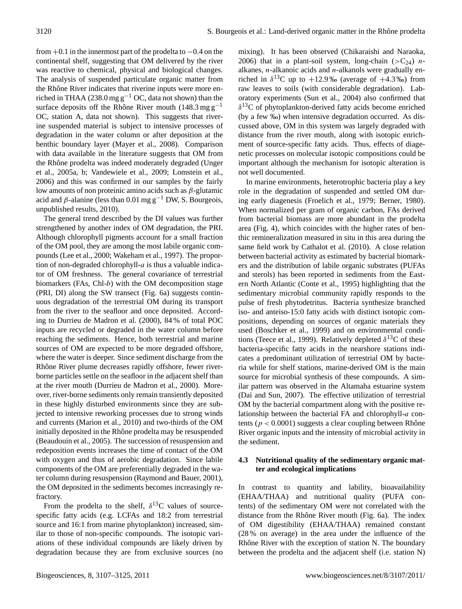from  $+0.1$  in the innermost part of the prodelta to  $-0.4$  on the continental shelf, suggesting that OM delivered by the river was reactive to chemical, physical and biological changes. The analysis of suspended particulate organic matter from the Rhône River indicates that riverine inputs were more enriched in THAA (238.0 mg  $g^{-1}$  OC, data not shown) than the surface deposits off the Rhône River mouth (148.3 mg  $g^{-1}$ OC, station A, data not shown). This suggests that riverine suspended material is subject to intensive processes of degradation in the water column or after deposition at the benthic boundary layer (Mayer et al., 2008). Comparison with data available in the literature suggests that OM from the Rhône prodelta was indeed moderately degraded (Unger et al., 2005a, b; Vandewiele et al., 2009; Lomstein et al., 2006) and this was confirmed in our samples by the fairly low amounts of non proteinic amino acids such as  $β$ -glutamic acid and  $\beta$ -alanine (less than 0.01 mg g<sup>-1</sup> DW, S. Bourgeois, unpublished results, 2010).

The general trend described by the DI values was further strengthened by another index of OM degradation, the PRI. Although chlorophyll pigments account for a small fraction of the OM pool, they are among the most labile organic compounds (Lee et al., 2000; Wakeham et al., 1997). The proportion of non-degraded chlorophyll- $a$  is thus a valuable indicator of OM freshness. The general covariance of terrestrial biomarkers (FAs, Chl- $b$ ) with the OM decomposition stage (PRI, DI) along the SW transect (Fig. 6a) suggests continuous degradation of the terrestrial OM during its transport from the river to the seafloor and once deposited. According to Durrieu de Madron et al. (2000), 84 % of total POC inputs are recycled or degraded in the water column before reaching the sediments. Hence, both terrestrial and marine sources of OM are expected to be more degraded offshore, where the water is deeper. Since sediment discharge from the Rhône River plume decreases rapidly offshore, fewer riverborne particles settle on the seafloor in the adjacent shelf than at the river mouth (Durrieu de Madron et al., 2000). Moreover, river-borne sediments only remain transiently deposited in these highly disturbed environments since they are subjected to intensive reworking processes due to strong winds and currents (Marion et al., 2010) and two-thirds of the OM initially deposited in the Rhône prodelta may be resuspended (Beaudouin et al., 2005). The succession of resuspension and redeposition events increases the time of contact of the OM with oxygen and thus of aerobic degradation. Since labile components of the OM are preferentially degraded in the water column during resuspension (Raymond and Bauer, 2001), the OM deposited in the sediments becomes increasingly refractory.

From the prodelta to the shelf,  $\delta^{13}$ C values of sourcespecific fatty acids (e.g. LCFAs and 18:2 from terrestrial source and 16:1 from marine phytoplankton) increased, similar to those of non-specific compounds. The isotopic variations of these individual compounds are likely driven by degradation because they are from exclusive sources (no mixing). It has been observed (Chikaraishi and Naraoka, 2006) that in a plant-soil system, long-chain  $(>C_{24})$  nalkanes,  $n$ -alkanoic acids and  $n$ -alkanols were gradually enriched in  $\delta^{13}$ C up to +12.9‰ (average of +4.3‰) from raw leaves to soils (with considerable degradation). Laboratory experiments (Sun et al., 2004) also confirmed that  $\delta^{13}$ C of phytoplankton-derived fatty acids become enriched (by a few ‰) when intensive degradation occurred. As discussed above, OM in this system was largely degraded with distance from the river mouth, along with isotopic enrichment of source-specific fatty acids. Thus, effects of diagenetic processes on molecular isotopic compositions could be important although the mechanism for isotopic alteration is not well documented.

In marine environments, heterotrophic bacteria play a key role in the degradation of suspended and settled OM during early diagenesis (Froelich et al., 1979; Berner, 1980). When normalized per gram of organic carbon, FAs derived from bacterial biomass are more abundant in the prodelta area (Fig. 4), which coincides with the higher rates of benthic remineralization measured in situ in this area during the same field work by Cathalot et al. (2010). A close relation between bacterial activity as estimated by bacterial biomarkers and the distribution of labile organic substrates (PUFAs and sterols) has been reported in sediments from the Eastern North Atlantic (Conte et al., 1995) highlighting that the sedimentary microbial community rapidly responds to the pulse of fresh phytodetritus. Bacteria synthesize branched iso- and anteiso-15:0 fatty acids with distinct isotopic compositions, depending on sources of organic materials they used (Boschker et al., 1999) and on environmental conditions (Teece et al., 1999). Relatively depleted  $\delta^{13}$ C of these bacteria-specific fatty acids in the nearshore stations indicates a predominant utilization of terrestrial OM by bacteria while for shelf stations, marine-derived OM is the main source for microbial synthesis of these compounds. A similar pattern was observed in the Altamaha estuarine system (Dai and Sun, 2007). The effective utilization of terrestrial OM by the bacterial compartment along with the positive relationship between the bacterial FA and chlorophyll-a contents ( $p < 0.0001$ ) suggests a clear coupling between Rhône River organic inputs and the intensity of microbial activity in the sediment.

# **4.3 Nutritional quality of the sedimentary organic matter and ecological implications**

In contrast to quantity and lability, bioavailability (EHAA/THAA) and nutritional quality (PUFA contents) of the sedimentary OM were not correlated with the distance from the Rhône River mouth (Fig. 6a). The index of OM digestibility (EHAA/THAA) remained constant (28 % on average) in the area under the influence of the Rhône River with the exception of station N. The boundary between the prodelta and the adjacent shelf (i.e. station N)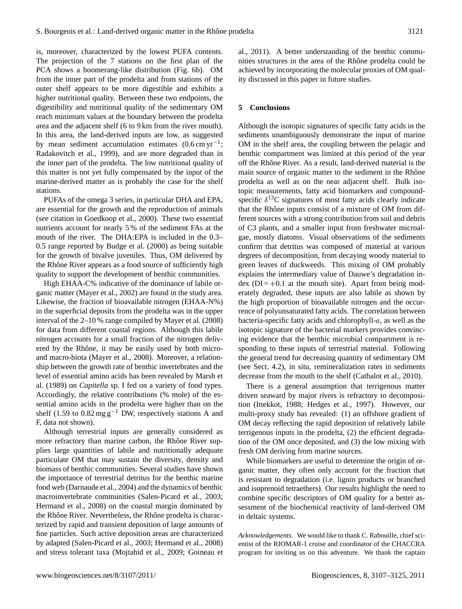is, moreover, characterized by the lowest PUFA contents. The projection of the 7 stations on the first plan of the PCA shows a boomerang-like distribution (Fig. 6b). OM from the inner part of the prodelta and from stations of the outer shelf appears to be more digestible and exhibits a higher nutritional quality. Between these two endpoints, the digestibility and nutritional quality of the sedimentary OM reach minimum values at the boundary between the prodelta area and the adjacent shelf (6 to 9 km from the river mouth). In this area, the land-derived inputs are low, as suggested by mean sediment accumulation estimates  $(0.6 \text{ cm yr}^{-1})$ ; Radakovitch et al., 1999), and are more degraded than in the inner part of the prodelta. The low nutritional quality of this matter is not yet fully compensated by the input of the marine-derived matter as is probably the case for the shelf stations.

PUFAs of the omega 3 series, in particular DHA and EPA, are essential for the growth and the reproduction of animals (see citation in Goedkoop et al., 2000). These two essential nutrients account for nearly 5 % of the sediment FAs at the mouth of the river. The DHA:EPA is included in the 0.3– 0.5 range reported by Budge et al. (2000) as being suitable for the growth of bivalve juveniles. Thus, OM delivered by the Rhône River appears as a food source of sufficiently high quality to support the development of benthic communities.

High EHAA-C% indicative of the dominance of labile organic matter (Mayer et al., 2002) are found in the study area. Likewise, the fraction of bioavailable nitrogen (EHAA-N%) in the superficial deposits from the prodelta was in the upper interval of the 2–10 % range compiled by Mayer et al. (2008) for data from different coastal regions. Although this labile nitrogen accounts for a small fraction of the nitrogen delivered by the Rhône, it may be easily used by both microand macro-biota (Mayer et al., 2008). Moreover, a relationship between the growth rate of benthic invertebrates and the level of essential amino acids has been revealed by Marsh et al. (1989) on *Capitella* sp. I fed on a variety of food types. Accordingly, the relative contributions (% mole) of the essential amino acids in the prodelta were higher than on the shelf (1.59 to  $0.82 \text{ mg g}^{-1}$  DW, respectively stations A and F, data not shown).

Although terrestrial inputs are generally considered as more refractory than marine carbon, the Rhône River supplies large quantities of labile and nutritionally adequate particulate OM that may sustain the diversity, density and biomass of benthic communities. Several studies have shown the importance of terrestrial detritus for the benthic marine food web (Darnaude et al., 2004) and the dynamics of benthic macroinvertebrate communities (Salen-Picard et al., 2003; Hermand et al., 2008) on the coastal margin dominated by the Rhône River. Nevertheless, the Rhône prodelta is characterized by rapid and transient deposition of large amounts of fine particles. Such active deposition areas are characterized by adapted (Salen-Picard et al., 2003; Hermand et al., 2008) and stress tolerant taxa (Mojtahid et al., 2009; Goineau et

al., 2011). A better understanding of the benthic communities structures in the area of the Rhône prodelta could be achieved by incorporating the molecular proxies of OM quality discussed in this paper in future studies.

### **5 Conclusions**

Although the isotopic signatures of specific fatty acids in the sediments unambiguously demonstrate the input of marine OM in the shelf area, the coupling between the pelagic and benthic compartment was limited at this period of the year off the Rhône River. As a result, land-derived material is the main source of organic matter to the sediment in the Rhône prodelta as well as on the near adjacent shelf. Bulk isotopic measurements, fatty acid biomarkers and compoundspecific  $\delta^{13}$ C signatures of most fatty acids clearly indicate that the Rhône inputs consist of a mixture of OM from different sources with a strong contribution from soil and debris of C3 plants, and a smaller input from freshwater microalgae, mostly diatoms. Visual observations of the sediments confirm that detritus was composed of material at various degrees of decomposition, from decaying woody material to green leaves of duckweeds. This mixing of OM probably explains the intermediary value of Dauwe's degradation index ( $DI = +0.1$  at the mouth site). Apart from being moderately degraded, these inputs are also labile as shown by the high proportion of bioavailable nitrogen and the occurrence of polyunsaturated fatty acids. The correlation between bacteria-specific fatty acids and chlorophyll- $a$ , as well as the isotopic signature of the bacterial markers provides convincing evidence that the benthic microbial compartment is responding to these inputs of terrestrial material. Following the general trend for decreasing quantity of sedimentary OM (see Sect. 4.2), in situ, remineralization rates in sediments decrease from the mouth to the shelf (Cathalot et al., 2010).

There is a general assumption that terrigenous matter driven seaward by major rivers is refractory to decomposition (Ittekkot, 1988; Hedges et al., 1997). However, our multi-proxy study has revealed: (1) an offshore gradient of OM decay reflecting the rapid deposition of relatively labile terrigenous inputs in the prodelta, (2) the efficient degradation of the OM once deposited, and (3) the low mixing with fresh OM deriving from marine sources.

While biomarkers are useful to determine the origin of organic matter, they often only account for the fraction that is resistant to degradation (i.e. lignin products or branched and isoprenoid tetraethers). Our results highlight the need to combine specific descriptors of OM quality for a better assessment of the biochemical reactivity of land-derived OM in deltaic systems.

*Acknowledgements.* We would like to thank C. Rabouille, chief scientist of the RIOMAR-1 cruise and coordinator of the CHACCRA program for inviting us on this adventure. We thank the captain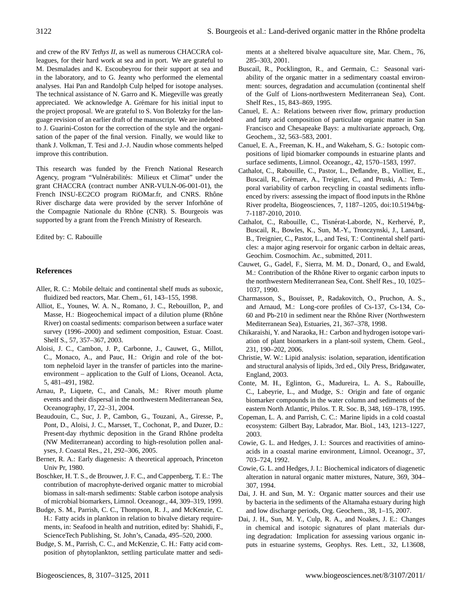and crew of the RV *Tethys II*, as well as numerous CHACCRA colleagues, for their hard work at sea and in port. We are grateful to M. Desmalades and K. Escoubeyrou for their support at sea and in the laboratory, and to G. Jeanty who performed the elemental analyses. Hai Pan and Randolph Culp helped for isotope analyses. The technical assistance of N. Garro and K. Miegeville was greatly appreciated. We acknowledge A. Grémare for his initial input to the project proposal. We are grateful to S. Von Boletzky for the language revision of an earlier draft of the manuscript. We are indebted to J. Guarini-Coston for the correction of the style and the organisation of the paper of the final version. Finally, we would like to thank J. Volkman, T. Tesi and J.-J. Naudin whose comments helped improve this contribution.

This research was funded by the French National Research Agency, program "Vulnérabilités: Milieux et Climat" under the grant CHACCRA (contract number ANR-VULN-06-001-01), the French INSU-EC2CO program RiOMar.fr, and CNRS. Rhône River discharge data were provided by the server Inforhône of the Compagnie Nationale du Rhône (CNR). S. Bourgeois was supported by a grant from the French Ministry of Research.

Edited by: C. Rabouille

# **References**

- Aller, R. C.: Mobile deltaic and continental shelf muds as suboxic, fluidized bed reactors, Mar. Chem., 61, 143–155, 1998.
- Alliot, E., Younes, W. A. N., Romano, J. C., Rebouillon, P., and Masse, H.: Biogeochemical impact of a dilution plume (Rhône River) on coastal sediments: comparison between a surface water survey (1996–2000) and sediment composition, Estuar. Coast. Shelf S., 57, 357–367, 2003.
- Aloisi, J. C., Cambon, J. P., Carbonne, J., Cauwet, G., Millot, C., Monaco, A., and Pauc, H.: Origin and role of the bottom nepheloid layer in the transfer of particles into the marineenvironment – application to the Gulf of Lions, Oceanol. Acta, 5, 481–491, 1982.
- Arnau, P., Liquete, C., and Canals, M.: River mouth plume events and their dispersal in the northwestern Mediterranean Sea, Oceanography, 17, 22–31, 2004.
- Beaudouin, C., Suc, J. P., Cambon, G., Touzani, A., Giresse, P., Pont, D., Aloïsi, J. C., Marsset, T., Cochonat, P., and Duzer, D.: Present-day rhythmic deposition in the Grand Rhône prodelta (NW Mediterranean) according to high-resolution pollen analyses, J. Coastal Res., 21, 292–306, 2005.
- Berner, R. A.: Early diagenesis: A theoretical approach, Princeton Univ Pr, 1980.
- Boschker, H. T. S., de Brouwer, J. F. C., and Cappenberg, T. E.: The contribution of macrophyte-derived organic matter to microbial biomass in salt-marsh sediments: Stable carbon isotope analysis of microbial biomarkers, Limnol. Oceanogr., 44, 309–319, 1999.
- Budge, S. M., Parrish, C. C., Thompson, R. J., and McKenzie, C. H.: Fatty acids in plankton in relation to bivalve dietary requirements, in: Seafood in health and nutrition, edited by: Shahidi, F., ScienceTech Publishing, St. John's, Canada, 495–520, 2000.
- Budge, S. M., Parrish, C. C., and McKenzie, C. H.: Fatty acid composition of phytoplankton, settling particulate matter and sedi-

ments at a sheltered bivalve aquaculture site, Mar. Chem., 76, 285–303, 2001.

- Buscail, R., Pocklington, R., and Germain, C.: Seasonal variability of the organic matter in a sedimentary coastal environment: sources, degradation and accumulation (continental shelf of the Gulf of Lions-northwestern Mediterranean Sea), Cont. Shelf Res., 15, 843–869, 1995.
- Canuel, E. A.: Relations between river flow, primary production and fatty acid composition of particulate organic matter in San Francisco and Chesapeake Bays: a multivariate approach, Org. Geochem., 32, 563–583, 2001.
- Canuel, E. A., Freeman, K. H., and Wakeham, S. G.: Isotopic compositions of lipid biomarker compounds in estuarine plants and surface sediments, Limnol. Oceanogr., 42, 1570–1583, 1997.
- Cathalot, C., Rabouille, C., Pastor, L., Deflandre, B., Viollier, E., Buscail, R., Grémare, A., Treignier, C., and Pruski, A.: Temporal variability of carbon recycling in coastal sediments influenced by rivers: assessing the impact of flood inputs in the Rhône River prodelta, Biogeosciences, 7, 1187–1205, [doi:10.5194/bg-](http://dx.doi.org/10.5194/bg-7-1187-2010)[7-1187-2010,](http://dx.doi.org/10.5194/bg-7-1187-2010) 2010.
- Cathalot, C., Rabouille, C., Tisnérat-Laborde, N., Kerhervé, P., Buscail, R., Bowles, K., Sun, M.-Y., Tronczynski, J., Lansard, B., Treignier, C., Pastor, L., and Tesi, T.: Continental shelf particles: a major aging reservoir for organic carbon in deltaic areas, Geochim. Cosmochim. Ac., submitted, 2011.
- Cauwet, G., Gadel, F., Sierra, M. M. D., Donard, O., and Ewald, M.: Contribution of the Rhône River to organic carbon inputs to the northwestern Mediterranean Sea, Cont. Shelf Res., 10, 1025– 1037, 1990.
- Charmasson, S., Bouisset, P., Radakovitch, O., Pruchon, A. S., and Arnaud, M.: Long-core profiles of Cs-137, Cs-134, Co- $60$  and Pb-210 in sediment near the Rhône River (Northwestern Mediterranean Sea), Estuaries, 21, 367–378, 1998.
- Chikaraishi, Y. and Naraoka, H.: Carbon and hydrogen isotope variation of plant biomarkers in a plant-soil system, Chem. Geol., 231, 190–202, 2006.
- Christie, W. W.: Lipid analysis: isolation, separation, identification and structural analysis of lipids, 3rd ed., Oily Press, Bridgawater, England, 2003.
- Conte, M. H., Eglinton, G., Madureira, L. A. S., Rabouille, C., Labeyrie, L., and Mudge, S.: Origin and fate of organic biomarker compounds in the water column and sediments of the eastern North Atlantic, Philos. T. R. Soc. B, 348, 169–178, 1995.
- Copeman, L. A. and Parrish, C. C.: Marine lipids in a cold coastal ecosystem: Gilbert Bay, Labrador, Mar. Biol., 143, 1213–1227, 2003.
- Cowie, G. L. and Hedges, J. I.: Sources and reactivities of aminoacids in a coastal marine environment, Limnol. Oceanogr., 37, 703–724, 1992.
- Cowie, G. L. and Hedges, J. I.: Biochemical indicators of diagenetic alteration in natural organic matter mixtures, Nature, 369, 304– 307, 1994.
- Dai, J. H. and Sun, M. Y.: Organic matter sources and their use by bacteria in the sediments of the Altamaha estuary during high and low discharge periods, Org. Geochem., 38, 1–15, 2007.
- Dai, J. H., Sun, M. Y., Culp, R. A., and Noakes, J. E.: Changes in chemical and isotopic signatures of plant materials during degradation: Implication for assessing various organic inputs in estuarine systems, Geophys. Res. Lett., 32, L13608,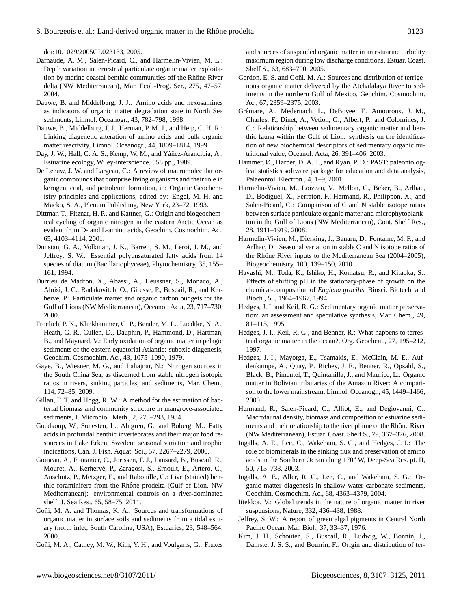[doi:10.1029/2005GL023133,](http://dx.doi.org/10.1029/2005GL023133) 2005.

- Darnaude, A. M., Salen-Picard, C., and Harmelin-Vivien, M. L.: Depth variation in terrestrial particulate organic matter exploitation by marine coastal benthic communities off the Rhône River delta (NW Mediterranean), Mar. Ecol.-Prog. Ser., 275, 47–57, 2004.
- Dauwe, B. and Middelburg, J. J.: Amino acids and hexosamines as indicators of organic matter degradation state in North Sea sediments, Limnol. Oceanogr., 43, 782–798, 1998.
- Dauwe, B., Middelburg, J. J., Herman, P. M. J., and Heip, C. H. R.: Linking diagenetic alteration of amino acids and bulk organic matter reactivity, Limnol. Oceanogr., 44, 1809–1814, 1999.
- Day, J. W., Hall, C. A. S., Kemp, W. M., and Yáñez-Arancibia, A.: Estuarine ecology, Wiley-interscience, 558 pp., 1989.
- De Leeuw, J. W. and Largeau, C.: A review of macromolecular organic compounds that comprise living organisms and their role in kerogen, coal, and petroleum formation, in: Organic Geochemistry principles and applications, edited by: Engel, M. H. and Macko, S. A., Plenum Publishing, New York, 23–72, 1993.
- Dittmar, T., Fitznar, H. P., and Kattner, G.: Origin and biogeochemical cycling of organic nitrogen in the eastern Arctic Ocean as evident from D- and L-amino acids, Geochim. Cosmochim. Ac., 65, 4103–4114, 2001.
- Dunstan, G. A., Volkman, J. K., Barrett, S. M., Leroi, J. M., and Jeffrey, S. W.: Essential polyunsaturated fatty acids from 14 species of diatom (Bacillariophyceae), Phytochemistry, 35, 155– 161, 1994.
- Durrieu de Madron, X., Abassi, A., Heussner, S., Monaco, A., Aloisi, J. C., Radakovitch, O., Giresse, P., Buscail, R., and Kerherve, P.: Particulate matter and organic carbon budgets for the Gulf of Lions (NW Mediterranean), Oceanol. Acta, 23, 717–730, 2000.
- Froelich, P. N., Klinkhammer, G. P., Bender, M. L., Luedtke, N. A., Heath, G. R., Cullen, D., Dauphin, P., Hammond, D., Hartman, B., and Maynard, V.: Early oxidation of organic matter in pelagic sediments of the eastern equatorial Atlantic: suboxic diagenesis, Geochim. Cosmochim. Ac., 43, 1075–1090, 1979.
- Gaye, B., Wiesner, M. G., and Lahajnar, N.: Nitrogen sources in the South China Sea, as discerned from stable nitrogen isotopic ratios in rivers, sinking particles, and sediments, Mar. Chem., 114, 72–85, 2009.
- Gillan, F. T. and Hogg, R. W.: A method for the estimation of bacterial biomass and community structure in mangrove-associated sediments, J. Microbiol. Meth., 2, 275–293, 1984.
- Goedkoop, W., Sonesten, L., Ahlgren, G., and Boberg, M.: Fatty acids in profundal benthic invertebrates and their major food resources in Lake Erken, Sweden: seasonal variation and trophic indications, Can. J. Fish. Aquat. Sci., 57, 2267–2279, 2000.
- Goineau, A., Fontanier, C., Jorissen, F. J., Lansard, B., Buscail, R., Mouret, A., Kerhervé, P., Zaragosi, S., Ernoult, E., Artéro, C., Anschutz, P., Metzger, E., and Rabouille, C.: Live (stained) benthic foraminifera from the Rhône prodelta (Gulf of Lion, NW Mediterranean): environmental controls on a river-dominated shelf, J. Sea Res., 65, 58–75, 2011.
- Goñi, M. A. and Thomas, K. A.: Sources and transformations of organic matter in surface soils and sediments from a tidal estuary (north inlet, South Carolina, USA), Estuaries, 23, 548–564, 2000.
- Goñi, M. A., Cathey, M. W., Kim, Y. H., and Voulgaris, G.: Fluxes

and sources of suspended organic matter in an estuarine turbidity maximum region during low discharge conditions, Estuar. Coast. Shelf S., 63, 683–700, 2005.

- Gordon, E. S. and Goñi, M. A.: Sources and distribution of terrigenous organic matter delivered by the Atchafalaya River to sediments in the northern Gulf of Mexico, Geochim. Cosmochim. Ac., 67, 2359–2375, 2003.
- Grémare, A., Medernach, L., DeBovee, F., Amouroux, J. M., Charles, F., Dinet, A., Vetion, G., Albert, P., and Colomines, J. C.: Relationship between sedimentary organic matter and benthic fauna within the Gulf of Lion: synthesis on the identification of new biochemical descriptors of sedimentary organic nutritional value, Oceanol. Acta, 26, 391–406, 2003.
- Hammer, Ø., Harper, D. A. T., and Ryan, P. D.: PAST: paleontological statistics software package for education and data analysis, Palaeontol. Electron., 4, 1–9, 2001.
- Harmelin-Vivien, M., Loizeau, V., Mellon, C., Beker, B., Arlhac, D., Bodiguel, X., Ferraton, F., Hermand, R., Philippon, X., and Salen-Picard, C.: Comparison of C and N stable isotope ratios between surface particulate organic matter and microphytoplankton in the Gulf of Lions (NW Mediterranean), Cont. Shelf Res., 28, 1911–1919, 2008.
- Harmelin-Vivien, M., Dierking, J., Banaru, D., Fontaine, M. F., and Arlhac, D.: Seasonal variation in stable C and N isotope ratios of the Rhône River inputs to the Mediterranean Sea  $(2004–2005)$ , Biogeochemistry, 100, 139–150, 2010.
- Hayashi, M., Toda, K., Ishiko, H., Komatsu, R., and Kitaoka, S.: Effects of shifting pH in the stationary-phase of growth on the chemical-composition of *Euglena gracilis*, Biosci. Biotech. and Bioch., 58, 1964–1967, 1994.
- Hedges, J. I. and Keil, R. G.: Sedimentary organic matter preservation: an assessment and speculative synthesis, Mar. Chem., 49, 81–115, 1995.
- Hedges, J. I., Keil, R. G., and Benner, R.: What happens to terrestrial organic matter in the ocean?, Org. Geochem., 27, 195–212, 1997.
- Hedges, J. I., Mayorga, E., Tsamakis, E., McClain, M. E., Aufdenkampe, A., Quay, P., Richey, J. E., Benner, R., Opsahl, S., Black, B., Pimentel, T., Quintanilla, J., and Maurice, L.: Organic matter in Bolivian tributaries of the Amazon River: A comparison to the lower mainstream, Limnol. Oceanogr., 45, 1449–1466, 2000.
- Hermand, R., Salen-Picard, C., Alliot, E., and Degiovanni, C.: Macrofaunal density, biomass and composition of estuarine sediments and their relationship to the river plume of the Rhône River (NW Mediterranean), Estuar. Coast. Shelf S., 79, 367–376, 2008.
- Ingalls, A. E., Lee, C., Wakeham, S. G., and Hedges, J. I.: The role of biominerals in the sinking flux and preservation of amino acids in the Southern Ocean along 170◦ W, Deep-Sea Res. pt. II, 50, 713–738, 2003.
- Ingalls, A. E., Aller, R. C., Lee, C., and Wakeham, S. G.: Organic matter diagenesis in shallow water carbonate sediments, Geochim. Cosmochim. Ac., 68, 4363–4379, 2004.
- Ittekkot, V.: Global trends in the nature of organic matter in river suspensions, Nature, 332, 436–438, 1988.
- Jeffrey, S. W.: A report of green algal pigments in Central North Pacific Ocean, Mar. Biol., 37, 33–37, 1976.
- Kim, J. H., Schouten, S., Buscail, R., Ludwig, W., Bonnin, J., Damste, J. S. S., and Bourrin, F.: Origin and distribution of ter-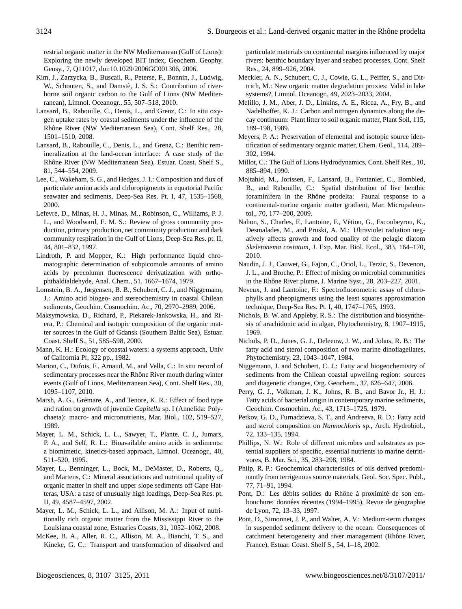restrial organic matter in the NW Mediterranean (Gulf of Lions): Exploring the newly developed BIT index, Geochem. Geophy. Geosy., 7, Q11017, [doi:10.1029/2006GC001306,](http://dx.doi.org/10.1029/2006GC001306) 2006.

- Kim, J., Zarzycka, B., Buscail, R., Peterse, F., Bonnin, J., Ludwig, W., Schouten, S., and Damsté, J. S. S.: Contribution of riverborne soil organic carbon to the Gulf of Lions (NW Mediterranean), Limnol. Oceanogr., 55, 507–518, 2010.
- Lansard, B., Rabouille, C., Denis, L., and Grenz, C.: In situ oxygen uptake rates by coastal sediments under the influence of the Rhône River (NW Mediterranean Sea), Cont. Shelf Res., 28, 1501–1510, 2008.
- Lansard, B., Rabouille, C., Denis, L., and Grenz, C.: Benthic remineralization at the land-ocean interface: A case study of the Rhône River (NW Mediterranean Sea), Estuar. Coast. Shelf S., 81, 544–554, 2009.
- Lee, C., Wakeham, S. G., and Hedges, J. I.: Composition and flux of particulate amino acids and chloropigments in equatorial Pacific seawater and sediments, Deep-Sea Res. Pt. I, 47, 1535–1568, 2000.
- Lefevre, D., Minas, H. J., Minas, M., Robinson, C., Williams, P. J. L., and Woodward, E. M. S.: Review of gross community production, primary production, net community production and dark community respiration in the Gulf of Lions, Deep-Sea Res. pt. II, 44, 801–832, 1997.
- Lindroth, P. and Mopper, K.: High performance liquid chromatographic determination of subpicomole amounts of amino acids by precolumn fluorescence derivatization with orthophthaldialdehyde, Anal. Chem., 51, 1667–1674, 1979.
- Lomstein, B. A., Jørgensen, B. B., Schubert, C. J., and Niggemann, J.: Amino acid biogeo- and stereochemistry in coastal Chilean sediments, Geochim. Cosmochim. Ac., 70, 2970–2989, 2006.
- Maksymowska, D., Richard, P., Piekarek-Jankowska, H., and Riera, P.: Chemical and isotopic composition of the organic matter sources in the Gulf of Gdansk (Southern Baltic Sea), Estuar. Coast. Shelf S., 51, 585–598, 2000.
- Mann, K. H.: Ecology of coastal waters: a systems approach, Univ of California Pr, 322 pp., 1982.
- Marion, C., Dufois, F., Arnaud, M., and Vella, C.: In situ record of sedimentary processes near the Rhône River mouth during winter events (Gulf of Lions, Mediterranean Sea), Cont. Shelf Res., 30, 1095–1107, 2010.
- Marsh, A. G., Grémare, A., and Tenore, K. R.: Effect of food type and ration on growth of juvenile *Capitella* sp. I (Annelida: Polychaeta): macro- and micronutrients, Mar. Biol., 102, 519–527, 1989.
- Mayer, L. M., Schick, L. L., Sawyer, T., Plante, C. J., Jumars, P. A., and Self, R. L.: Bioavailable amino acids in sediments: a biomimetic, kinetics-based approach, Limnol. Oceanogr., 40, 511–520, 1995.
- Mayer, L., Benninger, L., Bock, M., DeMaster, D., Roberts, Q., and Martens, C.: Mineral associations and nutritional quality of organic matter in shelf and upper slope sediments off Cape Hatteras, USA: a case of unusually high loadings, Deep-Sea Res. pt. II, 49, 4587–4597, 2002.
- Mayer, L. M., Schick, L. L., and Allison, M. A.: Input of nutritionally rich organic matter from the Mississippi River to the Louisiana coastal zone, Estuaries Coasts, 31, 1052–1062, 2008.
- McKee, B. A., Aller, R. C., Allison, M. A., Bianchi, T. S., and Kineke, G. C.: Transport and transformation of dissolved and

particulate materials on continental margins influenced by major rivers: benthic boundary layer and seabed processes, Cont. Shelf Res., 24, 899–926, 2004.

- Meckler, A. N., Schubert, C. J., Cowie, G. L., Peiffer, S., and Dittrich, M.: New organic matter degradation proxies: Valid in lake systems?, Limnol. Oceanogr., 49, 2023–2033, 2004.
- Melillo, J. M., Aber, J. D., Linkins, A. E., Ricca, A., Fry, B., and Nadelhoffer, K. J.: Carbon and nitrogen dynamics along the decay continuum: Plant litter to soil organic matter, Plant Soil, 115, 189–198, 1989.
- Meyers, P. A.: Preservation of elemental and isotopic source identification of sedimentary organic matter, Chem. Geol., 114, 289– 302, 1994.
- Millot, C.: The Gulf of Lions Hydrodynamics, Cont. Shelf Res., 10, 885–894, 1990.
- Mojtahid, M., Jorissen, F., Lansard, B., Fontanier, C., Bombled, B., and Rabouille, C.: Spatial distribution of live benthic foraminifera in the Rhône prodelta: Faunal response to a continental-marine organic matter gradient, Mar. Micropaleontol., 70, 177–200, 2009.
- Nahon, S., Charles, F., Lantoine, F., Vetion, G., Escoubeyrou, K., ´ Desmalades, M., and Pruski, A. M.: Ultraviolet radiation negatively affects growth and food quality of the pelagic diatom *Skeletonema costatum*, J. Exp. Mar. Biol. Ecol., 383, 164–170, 2010.
- Naudin, J. J., Cauwet, G., Fajon, C., Oriol, L., Terzic, S., Devenon, J. L., and Broche, P.: Effect of mixing on microbial communities in the Rhône River plume, J. Marine Syst., 28, 203–227, 2001.
- Neveux, J. and Lantoine, F.: Spectrofluorometric assay of chlorophylls and pheopigments using the least squares approximation technique, Deep-Sea Res. Pt. I, 40, 1747–1765, 1993.
- Nichols, B. W. and Appleby, R. S.: The distribution and biosynthesis of arachidonic acid in algae, Phytochemistry, 8, 1907–1915, 1969.
- Nichols, P. D., Jones, G. J., Deleeuw, J. W., and Johns, R. B.: The fatty acid and sterol composition of two marine dinoflagellates, Phytochemistry, 23, 1043–1047, 1984.
- Niggemann, J. and Schubert, C. J.: Fatty acid biogeochemistry of sediments from the Chilean coastal upwelling region: sources and diagenetic changes, Org. Geochem., 37, 626–647, 2006.
- Perry, G. J., Volkman, J. K., Johns, R. B., and Bavor Jr., H. J.: Fatty acids of bacterial origin in contemporary marine sediments, Geochim. Cosmochim. Ac., 43, 1715–1725, 1979.
- Petkov, G. D., Furnadzieva, S. T., and Andreeva, R. D.: Fatty acid and sterol composition on *Nannochloris* sp., Arch. Hydrobiol., 72, 133–135, 1994.
- Phillips, N. W.: Role of different microbes and substrates as potential suppliers of specific, essential nutrients to marine detritivores, B. Mar. Sci., 35, 283–298, 1984.
- Philp, R. P.: Geochemical characteristics of oils derived predominantly from terrigenous source materials, Geol. Soc. Spec. Publ., 77, 71–91, 1994.
- Pont, D.: Les débits solides du Rhône à proximité de son embouchure: données récentes (1994–1995), Revue de géographie de Lyon, 72, 13–33, 1997.
- Pont, D., Simonnet, J. P., and Walter, A. V.: Medium-term changes in suspended sediment delivery to the ocean: Consequences of catchment heterogeneity and river management (Rhône River, France), Estuar. Coast. Shelf S., 54, 1–18, 2002.